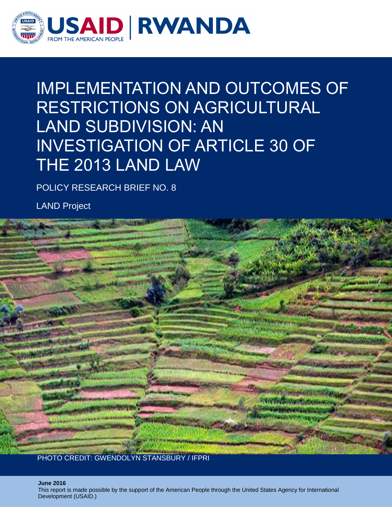

# IMPLEMENTATION AND OUTCOMES OF RESTRICTIONS ON AGRICULTURAL LAND SUBDIVISION: AN INVESTIGATION OF ARTICLE 30 OF THE 2013 LAND LAW

POLICY RESEARCH BRIEF NO. 8

LAND Project



i **June 2016**

This report is made possible by the support of the American People through the United States Agency for International Development (USAID.)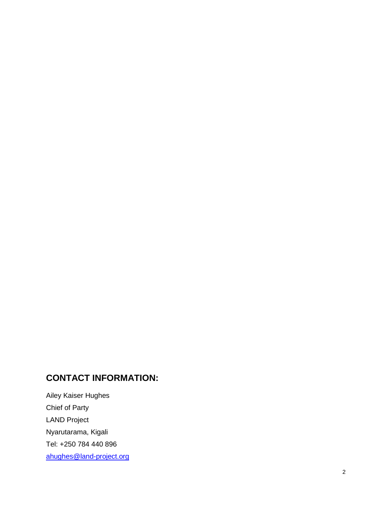# **CONTACT INFORMATION:**

Ailey Kaiser Hughes Chief of Party LAND Project Nyarutarama, Kigali Tel: +250 784 440 896 [ahughes@land](mailto:ahughes@land-project.org) -project.org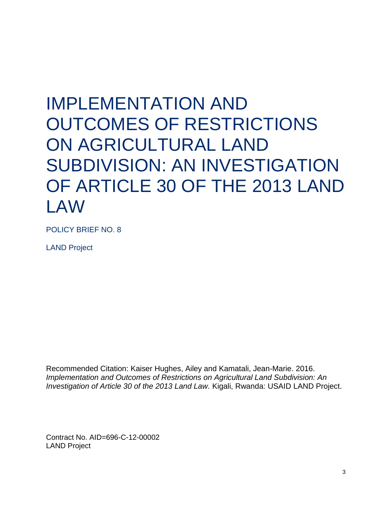# IMPLEMENTATION AND OUTCOMES OF RESTRICTIONS ON AGRICULTURAL LAND SUBDIVISION: AN INVESTIGATION OF ARTICLE 30 OF THE 2013 LAND LAW

POLICY BRIEF NO. 8

LAND Project

Recommended Citation: Kaiser Hughes, Ailey and Kamatali, Jean-Marie. 2016. *Implementation and Outcomes of Restrictions on Agricultural Land Subdivision: An Investigation of Article 30 of the 2013 Land Law.* Kigali, Rwanda: USAID LAND Project.

Contract No. AID=696-C-12-00002 LAND Project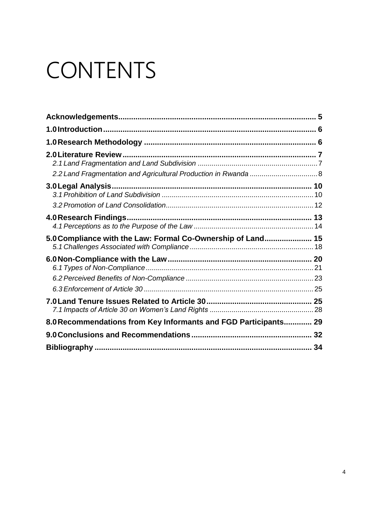# CONTENTS

| 3.0 Legal Analysis                                              |  |
|-----------------------------------------------------------------|--|
|                                                                 |  |
|                                                                 |  |
| 5.0 Compliance with the Law: Formal Co-Ownership of Land 15     |  |
|                                                                 |  |
|                                                                 |  |
|                                                                 |  |
|                                                                 |  |
| 8.0 Recommendations from Key Informants and FGD Participants 29 |  |
|                                                                 |  |
|                                                                 |  |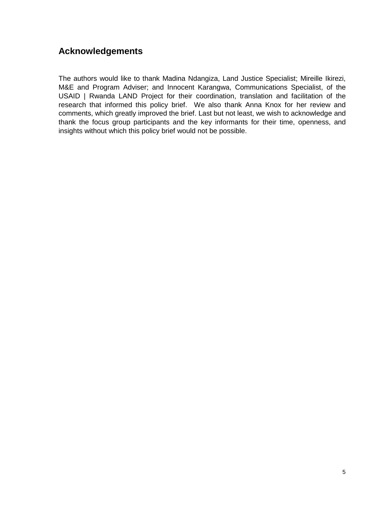# <span id="page-4-0"></span>**Acknowledgements**

The authors would like to thank Madina Ndangiza, Land Justice Specialist; Mireille Ikirezi, M&E and Program Adviser; and Innocent Karangwa, Communications Specialist, of the USAID | Rwanda LAND Project for their coordination, translation and facilitation of the research that informed this policy brief. We also thank Anna Knox for her review and comments, which greatly improved the brief. Last but not least, we wish to acknowledge and thank the focus group participants and the key informants for their time, openness, and insights without which this policy brief would not be possible.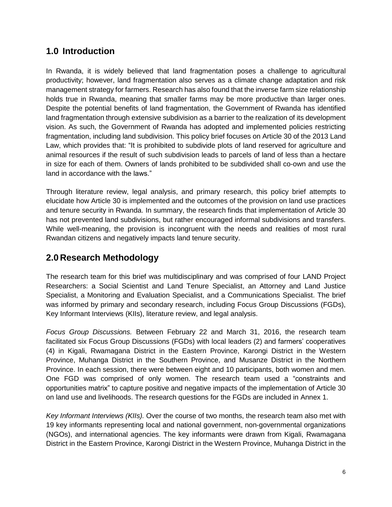# <span id="page-5-0"></span>**1.0 Introduction**

In Rwanda, it is widely believed that land fragmentation poses a challenge to agricultural productivity; however, land fragmentation also serves as a climate change adaptation and risk management strategy for farmers. Research has also found that the inverse farm size relationship holds true in Rwanda, meaning that smaller farms may be more productive than larger ones. Despite the potential benefits of land fragmentation, the Government of Rwanda has identified land fragmentation through extensive subdivision as a barrier to the realization of its development vision. As such, the Government of Rwanda has adopted and implemented policies restricting fragmentation, including land subdivision. This policy brief focuses on Article 30 of the 2013 Land Law, which provides that: "It is prohibited to subdivide plots of land reserved for agriculture and animal resources if the result of such subdivision leads to parcels of land of less than a hectare in size for each of them. Owners of lands prohibited to be subdivided shall co-own and use the land in accordance with the laws."

Through literature review, legal analysis, and primary research, this policy brief attempts to elucidate how Article 30 is implemented and the outcomes of the provision on land use practices and tenure security in Rwanda. In summary, the research finds that implementation of Article 30 has not prevented land subdivisions, but rather encouraged informal subdivisions and transfers. While well-meaning, the provision is incongruent with the needs and realities of most rural Rwandan citizens and negatively impacts land tenure security.

# <span id="page-5-1"></span>**2.0 Research Methodology**

The research team for this brief was multidisciplinary and was comprised of four LAND Project Researchers: a Social Scientist and Land Tenure Specialist, an Attorney and Land Justice Specialist, a Monitoring and Evaluation Specialist, and a Communications Specialist. The brief was informed by primary and secondary research, including Focus Group Discussions (FGDs), Key Informant Interviews (KIIs), literature review, and legal analysis.

*Focus Group Discussions.* Between February 22 and March 31, 2016, the research team facilitated six Focus Group Discussions (FGDs) with local leaders (2) and farmers' cooperatives (4) in Kigali, Rwamagana District in the Eastern Province, Karongi District in the Western Province, Muhanga District in the Southern Province, and Musanze District in the Northern Province. In each session, there were between eight and 10 participants, both women and men. One FGD was comprised of only women. The research team used a "constraints and opportunities matrix" to capture positive and negative impacts of the implementation of Article 30 on land use and livelihoods. The research questions for the FGDs are included in Annex 1.

*Key Informant Interviews (KIIs).* Over the course of two months, the research team also met with 19 key informants representing local and national government, non-governmental organizations (NGOs), and international agencies. The key informants were drawn from Kigali, Rwamagana District in the Eastern Province, Karongi District in the Western Province, Muhanga District in the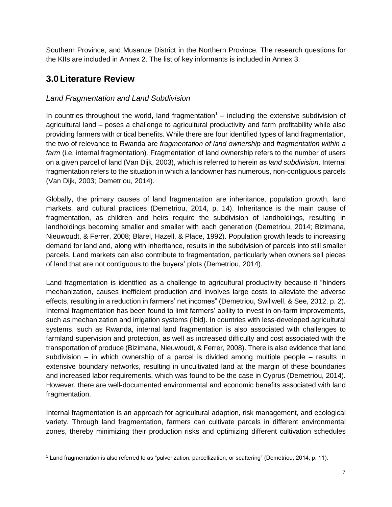Southern Province, and Musanze District in the Northern Province. The research questions for the KIIs are included in Annex 2. The list of key informants is included in Annex 3.

# <span id="page-6-0"></span>**3.0 Literature Review**

ı

#### <span id="page-6-1"></span>*Land Fragmentation and Land Subdivision*

In countries throughout the world, land fragmentation<sup>1</sup> – including the extensive subdivision of agricultural land – poses a challenge to agricultural productivity and farm profitability while also providing farmers with critical benefits. While there are four identified types of land fragmentation, the two of relevance to Rwanda are *fragmentation of land ownership* and *fragmentation within a farm* (i.e. internal fragmentation)*.* Fragmentation of land ownership refers to the number of users on a given parcel of land (Van Dijk, 2003), which is referred to herein as *land subdivision*. Internal fragmentation refers to the situation in which a landowner has numerous, non-contiguous parcels (Van Dijk, 2003; Demetriou, 2014).

Globally, the primary causes of land fragmentation are inheritance, population growth, land markets, and cultural practices (Demetriou, 2014, p. 14). Inheritance is the main cause of fragmentation, as children and heirs require the subdivision of landholdings, resulting in landholdings becoming smaller and smaller with each generation (Demetriou, 2014; Bizimana, Nieuwoudt, & Ferrer, 2008; Blarel, Hazell, & Place, 1992). Population growth leads to increasing demand for land and, along with inheritance, results in the subdivision of parcels into still smaller parcels. Land markets can also contribute to fragmentation, particularly when owners sell pieces of land that are not contiguous to the buyers' plots (Demetriou, 2014).

Land fragmentation is identified as a challenge to agricultural productivity because it "hinders mechanization, causes inefficient production and involves large costs to alleviate the adverse effects, resulting in a reduction in farmers' net incomes" (Demetriou, Swillwell, & See, 2012, p. 2). Internal fragmentation has been found to limit farmers' ability to invest in on-farm improvements, such as mechanization and irrigation systems (Ibid). In countries with less-developed agricultural systems, such as Rwanda, internal land fragmentation is also associated with challenges to farmland supervision and protection, as well as increased difficulty and cost associated with the transportation of produce (Bizimana, Nieuwoudt, & Ferrer, 2008). There is also evidence that land subdivision – in which ownership of a parcel is divided among multiple people – results in extensive boundary networks, resulting in uncultivated land at the margin of these boundaries and increased labor requirements, which was found to be the case in Cyprus (Demetriou, 2014). However, there are well-documented environmental and economic benefits associated with land fragmentation.

Internal fragmentation is an approach for agricultural adaption, risk management, and ecological variety. Through land fragmentation, farmers can cultivate parcels in different environmental zones, thereby minimizing their production risks and optimizing different cultivation schedules

<sup>1</sup> Land fragmentation is also referred to as "pulverization, parcellization, or scattering" (Demetriou, 2014, p. 11).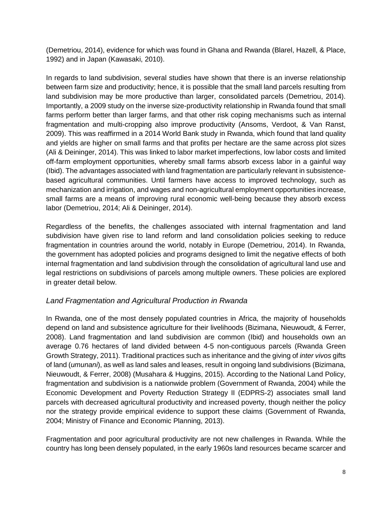(Demetriou, 2014), evidence for which was found in Ghana and Rwanda (Blarel, Hazell, & Place, 1992) and in Japan (Kawasaki, 2010).

In regards to land subdivision, several studies have shown that there is an inverse relationship between farm size and productivity; hence, it is possible that the small land parcels resulting from land subdivision may be more productive than larger, consolidated parcels (Demetriou, 2014). Importantly, a 2009 study on the inverse size-productivity relationship in Rwanda found that small farms perform better than larger farms, and that other risk coping mechanisms such as internal fragmentation and multi-cropping also improve productivity (Ansoms, Verdoot, & Van Ranst, 2009). This was reaffirmed in a 2014 World Bank study in Rwanda, which found that land quality and yields are higher on small farms and that profits per hectare are the same across plot sizes (Ali & Deininger, 2014). This was linked to labor market imperfections, low labor costs and limited off-farm employment opportunities, whereby small farms absorb excess labor in a gainful way (Ibid). The advantages associated with land fragmentation are particularly relevant in subsistencebased agricultural communities. Until farmers have access to improved technology, such as mechanization and irrigation, and wages and non-agricultural employment opportunities increase, small farms are a means of improving rural economic well-being because they absorb excess labor (Demetriou, 2014; Ali & Deininger, 2014).

Regardless of the benefits, the challenges associated with internal fragmentation and land subdivision have given rise to land reform and land consolidation policies seeking to reduce fragmentation in countries around the world, notably in Europe (Demetriou, 2014). In Rwanda, the government has adopted policies and programs designed to limit the negative effects of both internal fragmentation and land subdivision through the consolidation of agricultural land use and legal restrictions on subdivisions of parcels among multiple owners. These policies are explored in greater detail below.

#### <span id="page-7-0"></span>*Land Fragmentation and Agricultural Production in Rwanda*

In Rwanda, one of the most densely populated countries in Africa, the majority of households depend on land and subsistence agriculture for their livelihoods (Bizimana, Nieuwoudt, & Ferrer, 2008). Land fragmentation and land subdivision are common (Ibid) and households own an average 0.76 hectares of land divided between 4-5 non-contiguous parcels (Rwanda Green Growth Strategy, 2011). Traditional practices such as inheritance and the giving of *inter vivos* gifts of land (*umunani*), as well as land sales and leases, result in ongoing land subdivisions (Bizimana, Nieuwoudt, & Ferrer, 2008) (Musahara & Huggins, 2015). According to the National Land Policy, fragmentation and subdivision is a nationwide problem (Government of Rwanda, 2004) while the Economic Development and Poverty Reduction Strategy II (EDPRS-2) associates small land parcels with decreased agricultural productivity and increased poverty, though neither the policy nor the strategy provide empirical evidence to support these claims (Government of Rwanda, 2004; Ministry of Finance and Economic Planning, 2013).

Fragmentation and poor agricultural productivity are not new challenges in Rwanda. While the country has long been densely populated, in the early 1960s land resources became scarcer and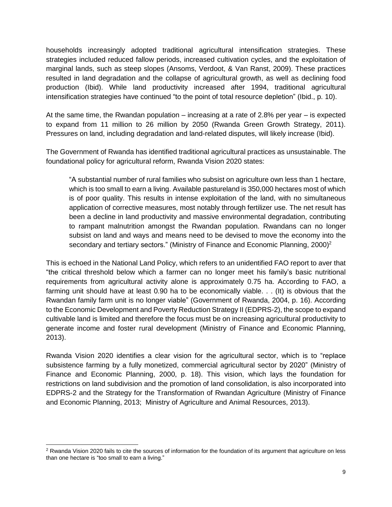households increasingly adopted traditional agricultural intensification strategies. These strategies included reduced fallow periods, increased cultivation cycles, and the exploitation of marginal lands, such as steep slopes (Ansoms, Verdoot, & Van Ranst, 2009). These practices resulted in land degradation and the collapse of agricultural growth, as well as declining food production (Ibid). While land productivity increased after 1994, traditional agricultural intensification strategies have continued "to the point of total resource depletion" (Ibid., p. 10).

At the same time, the Rwandan population – increasing at a rate of 2.8% per year – is expected to expand from 11 million to 26 million by 2050 (Rwanda Green Growth Strategy, 2011). Pressures on land, including degradation and land-related disputes, will likely increase (Ibid).

The Government of Rwanda has identified traditional agricultural practices as unsustainable. The foundational policy for agricultural reform, Rwanda Vision 2020 states:

"A substantial number of rural families who subsist on agriculture own less than 1 hectare, which is too small to earn a living. Available pastureland is 350,000 hectares most of which is of poor quality. This results in intense exploitation of the land, with no simultaneous application of corrective measures, most notably through fertilizer use. The net result has been a decline in land productivity and massive environmental degradation, contributing to rampant malnutrition amongst the Rwandan population. Rwandans can no longer subsist on land and ways and means need to be devised to move the economy into the secondary and tertiary sectors." (Ministry of Finance and Economic Planning,  $2000^2$ )

This is echoed in the National Land Policy, which refers to an unidentified FAO report to aver that "the critical threshold below which a farmer can no longer meet his family's basic nutritional requirements from agricultural activity alone is approximately 0.75 ha. According to FAO, a farming unit should have at least 0.90 ha to be economically viable. . . (It) is obvious that the Rwandan family farm unit is no longer viable" (Government of Rwanda, 2004, p. 16). According to the Economic Development and Poverty Reduction Strategy II (EDPRS-2), the scope to expand cultivable land is limited and therefore the focus must be on increasing agricultural productivity to generate income and foster rural development (Ministry of Finance and Economic Planning, 2013).

Rwanda Vision 2020 identifies a clear vision for the agricultural sector, which is to "replace subsistence farming by a fully monetized, commercial agricultural sector by 2020" (Ministry of Finance and Economic Planning, 2000, p. 18). This vision, which lays the foundation for restrictions on land subdivision and the promotion of land consolidation, is also incorporated into EDPRS-2 and the Strategy for the Transformation of Rwandan Agriculture (Ministry of Finance and Economic Planning, 2013; Ministry of Agriculture and Animal Resources, 2013).

<sup>&</sup>lt;sup>2</sup> Rwanda Vision 2020 fails to cite the sources of information for the foundation of its argument that agriculture on less than one hectare is "too small to earn a living."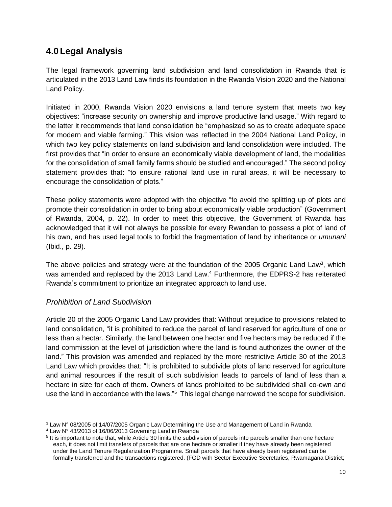# <span id="page-9-0"></span>**4.0 Legal Analysis**

The legal framework governing land subdivision and land consolidation in Rwanda that is articulated in the 2013 Land Law finds its foundation in the Rwanda Vision 2020 and the National Land Policy.

Initiated in 2000, Rwanda Vision 2020 envisions a land tenure system that meets two key objectives: "increase security on ownership and improve productive land usage." With regard to the latter it recommends that land consolidation be "emphasized so as to create adequate space for modern and viable farming." This vision was reflected in the 2004 National Land Policy, in which two key policy statements on land subdivision and land consolidation were included. The first provides that "in order to ensure an economically viable development of land, the modalities for the consolidation of small family farms should be studied and encouraged." The second policy statement provides that: "to ensure rational land use in rural areas, it will be necessary to encourage the consolidation of plots."

These policy statements were adopted with the objective "to avoid the splitting up of plots and promote their consolidation in order to bring about economically viable production" (Government of Rwanda, 2004, p. 22). In order to meet this objective, the Government of Rwanda has acknowledged that it will not always be possible for every Rwandan to possess a plot of land of his own, and has used legal tools to forbid the fragmentation of land by inheritance or *umunani* (Ibid., p. 29).

The above policies and strategy were at the foundation of the 2005 Organic Land Law<sup>3</sup>, which was amended and replaced by the 2013 Land Law.<sup>4</sup> Furthermore, the EDPRS-2 has reiterated Rwanda's commitment to prioritize an integrated approach to land use.

#### <span id="page-9-1"></span>*Prohibition of Land Subdivision*

ı

Article 20 of the 2005 Organic Land Law provides that: Without prejudice to provisions related to land consolidation, "it is prohibited to reduce the parcel of land reserved for agriculture of one or less than a hectar. Similarly, the land between one hectar and five hectars may be reduced if the land commission at the level of jurisdiction where the land is found authorizes the owner of the land." This provision was amended and replaced by the more restrictive Article 30 of the 2013 Land Law which provides that: "It is prohibited to subdivide plots of land reserved for agriculture and animal resources if the result of such subdivision leads to parcels of land of less than a hectare in size for each of them. Owners of lands prohibited to be subdivided shall co-own and use the land in accordance with the laws."<sup>5</sup> This legal change narrowed the scope for subdivision.

<sup>&</sup>lt;sup>3</sup> Law N° 08/2005 of 14/07/2005 Organic Law Determining the Use and Management of Land in Rwanda

<sup>4</sup> Law N° 43/2013 of 16/06/2013 Governing Land in Rwanda

<sup>&</sup>lt;sup>5</sup> It is important to note that, while Article 30 limits the subdivision of parcels into parcels smaller than one hectare each, it does not limit transfers of parcels that are one hectare or smaller if they have already been registered under the Land Tenure Regularization Programme*.* Small parcels that have already been registered can be formally transferred and the transactions registered. (FGD with Sector Executive Secretaries, Rwamagana District;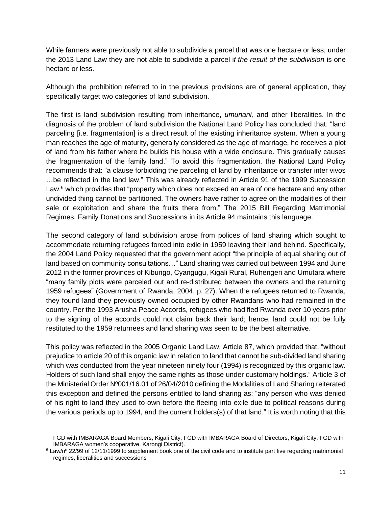While farmers were previously not able to subdivide a parcel that was one hectare or less, under the 2013 Land Law they are not able to subdivide a parcel i*f the result of the subdivision* is one hectare or less.

Although the prohibition referred to in the previous provisions are of general application, they specifically target two categories of land subdivision.

The first is land subdivision resulting from inheritance, *umunani,* and other liberalities. In the diagnosis of the problem of land subdivision the National Land Policy has concluded that: "land parceling [i.e. fragmentation] is a direct result of the existing inheritance system. When a young man reaches the age of maturity, generally considered as the age of marriage, he receives a plot of land from his father where he builds his house with a wide enclosure. This gradually causes the fragmentation of the family land." To avoid this fragmentation, the National Land Policy recommends that: "a clause forbidding the parceling of land by inheritance or transfer inter vivos …be reflected in the land law." This was already reflected in Article 91 of the 1999 Succession Law, $<sup>6</sup>$  which provides that "property which does not exceed an area of one hectare and any other</sup> undivided thing cannot be partitioned. The owners have rather to agree on the modalities of their sale or exploitation and share the fruits there from." The 2015 Bill Regarding Matrimonial Regimes, Family Donations and Successions in its Article 94 maintains this language.

The second category of land subdivision arose from polices of land sharing which sought to accommodate returning refugees forced into exile in 1959 leaving their land behind. Specifically, the 2004 Land Policy requested that the government adopt "the principle of equal sharing out of land based on community consultations…" Land sharing was carried out between 1994 and June 2012 in the former provinces of Kibungo, Cyangugu, Kigali Rural, Ruhengeri and Umutara where "many family plots were parceled out and re-distributed between the owners and the returning 1959 refugees" (Government of Rwanda, 2004, p. 27). When the refugees returned to Rwanda, they found land they previously owned occupied by other Rwandans who had remained in the country. Per the 1993 Arusha Peace Accords, refugees who had fled Rwanda over 10 years prior to the signing of the accords could not claim back their land; hence, land could not be fully restituted to the 1959 returnees and land sharing was seen to be the best alternative.

This policy was reflected in the 2005 Organic Land Law, Article 87, which provided that, "without prejudice to article 20 of this organic law in relation to land that cannot be sub-divided land sharing which was conducted from the year nineteen ninety four (1994) is recognized by this organic law. Holders of such land shall enjoy the same rights as those under customary holdings." Article 3 of the Ministerial Order Nº001/16.01 of 26/04/2010 defining the Modalities of Land Sharing reiterated this exception and defined the persons entitled to land sharing as: "any person who was denied of his right to land they used to own before the fleeing into exile due to political reasons during the various periods up to 1994, and the current holders(s) of that land." It is worth noting that this

ı

FGD with IMBARAGA Board Members, Kigali City; FGD with IMBARAGA Board of Directors, Kigali City; FGD with IMBARAGA women's cooperative, Karongi District).

<sup>&</sup>lt;sup>6</sup> Law/n<sup>o</sup> 22/99 of 12/11/1999 to supplement book one of the civil code and to institute part five regarding matrimonial regimes, liberalities and successions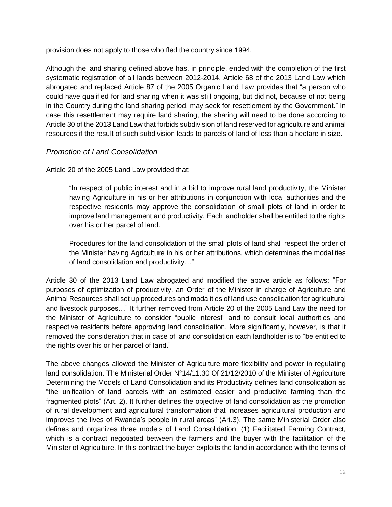provision does not apply to those who fled the country since 1994.

Although the land sharing defined above has, in principle, ended with the completion of the first systematic registration of all lands between 2012-2014, Article 68 of the 2013 Land Law which abrogated and replaced Article 87 of the 2005 Organic Land Law provides that "a person who could have qualified for land sharing when it was still ongoing, but did not, because of not being in the Country during the land sharing period, may seek for resettlement by the Government." In case this resettlement may require land sharing, the sharing will need to be done according to Article 30 of the 2013 Land Law that forbids subdivision of land reserved for agriculture and animal resources if the result of such subdivision leads to parcels of land of less than a hectare in size.

#### <span id="page-11-0"></span>*Promotion of Land Consolidation*

Article 20 of the 2005 Land Law provided that:

"In respect of public interest and in a bid to improve rural land productivity, the Minister having Agriculture in his or her attributions in conjunction with local authorities and the respective residents may approve the consolidation of small plots of land in order to improve land management and productivity. Each landholder shall be entitled to the rights over his or her parcel of land.

Procedures for the land consolidation of the small plots of land shall respect the order of the Minister having Agriculture in his or her attributions, which determines the modalities of land consolidation and productivity…"

Article 30 of the 2013 Land Law abrogated and modified the above article as follows: "For purposes of optimization of productivity, an Order of the Minister in charge of Agriculture and Animal Resources shall set up procedures and modalities of land use consolidation for agricultural and livestock purposes…" It further removed from Article 20 of the 2005 Land Law the need for the Minister of Agriculture to consider "public interest" and to consult local authorities and respective residents before approving land consolidation. More significantly, however, is that it removed the consideration that in case of land consolidation each landholder is to "be entitled to the rights over his or her parcel of land."

The above changes allowed the Minister of Agriculture more flexibility and power in regulating land consolidation. The Ministerial Order N°14/11.30 Of 21/12/2010 of the Minister of Agriculture Determining the Models of Land Consolidation and its Productivity defines land consolidation as "the unification of land parcels with an estimated easier and productive farming than the fragmented plots" (Art. 2). It further defines the objective of land consolidation as the promotion of rural development and agricultural transformation that increases agricultural production and improves the lives of Rwanda's people in rural areas" (Art.3). The same Ministerial Order also defines and organizes three models of Land Consolidation: (1) Facilitated Farming Contract, which is a contract negotiated between the farmers and the buyer with the facilitation of the Minister of Agriculture. In this contract the buyer exploits the land in accordance with the terms of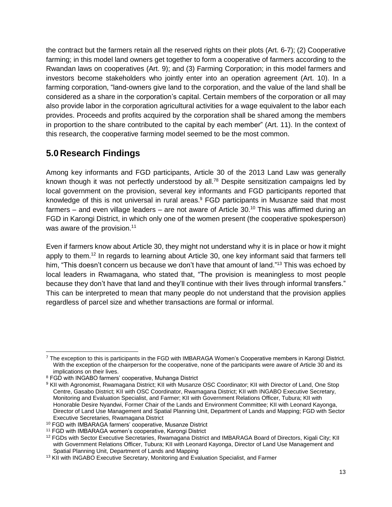the contract but the farmers retain all the reserved rights on their plots (Art. 6-7); (2) Cooperative farming; in this model land owners get together to form a cooperative of farmers according to the Rwandan laws on cooperatives (Art. 9); and (3) Farming Corporation; in this model farmers and investors become stakeholders who jointly enter into an operation agreement (Art. 10). In a farming corporation, "land-owners give land to the corporation, and the value of the land shall be considered as a share in the corporation's capital. Certain members of the corporation or all may also provide labor in the corporation agricultural activities for a wage equivalent to the labor each provides. Proceeds and profits acquired by the corporation shall be shared among the members in proportion to the share contributed to the capital by each member" (Art. 11). In the context of this research, the cooperative farming model seemed to be the most common.

# <span id="page-12-0"></span>**5.0 Research Findings**

Among key informants and FGD participants, Article 30 of the 2013 Land Law was generally known though it was not perfectly understood by all.<sup>78</sup> Despite sensitization campaigns led by local government on the provision, several key informants and FGD participants reported that knowledge of this is not universal in rural areas.<sup>9</sup> FGD participants in Musanze said that most farmers – and even village leaders – are not aware of Article 30.<sup>10</sup> This was affirmed during an FGD in Karongi District, in which only one of the women present (the cooperative spokesperson) was aware of the provision. $11$ 

Even if farmers know about Article 30, they might not understand why it is in place or how it might apply to them.<sup>12</sup> In regards to learning about Article 30, one key informant said that farmers tell him, "This doesn't concern us because we don't have that amount of land."<sup>13</sup> This was echoed by local leaders in Rwamagana, who stated that, "The provision is meaningless to most people because they don't have that land and they'll continue with their lives through informal transfers." This can be interpreted to mean that many people do not understand that the provision applies regardless of parcel size and whether transactions are formal or informal.

<sup>7</sup> The exception to this is participants in the FGD with IMBARAGA Women's Cooperative members in Karongi District. With the exception of the chairperson for the cooperative, none of the participants were aware of Article 30 and its implications on their lives.

<sup>&</sup>lt;sup>8</sup> FGD with INGABO farmers' cooperative, Muhanga District

<sup>9</sup> KII with Agronomist, Rwamagana District; KII with Musanze OSC Coordinator; KII with Director of Land, One Stop Centre, Gasabo District; KII with OSC Coordinator, Rwamagana District; KII with INGABO Executive Secretary, Monitoring and Evaluation Specialist, and Farmer; KII with Government Relations Officer, Tubura; KII with Honorable Desire Nyandwi, Former Chair of the Lands and Environment Committee; KII with Leonard Kayonga, Director of Land Use Management and Spatial Planning Unit, Department of Lands and Mapping; FGD with Sector Executive Secretaries, Rwamagana District

<sup>10</sup> FGD with IMBARAGA farmers' cooperative, Musanze District

<sup>11</sup> FGD with IMBARAGA women's cooperative, Karongi District

<sup>&</sup>lt;sup>12</sup> FGDs with Sector Executive Secretaries, Rwamagana District and IMBARAGA Board of Directors, Kigali City; KII with Government Relations Officer, Tubura; KII with Leonard Kayonga, Director of Land Use Management and Spatial Planning Unit, Department of Lands and Mapping

<sup>&</sup>lt;sup>13</sup> KII with INGABO Executive Secretary, Monitoring and Evaluation Specialist, and Farmer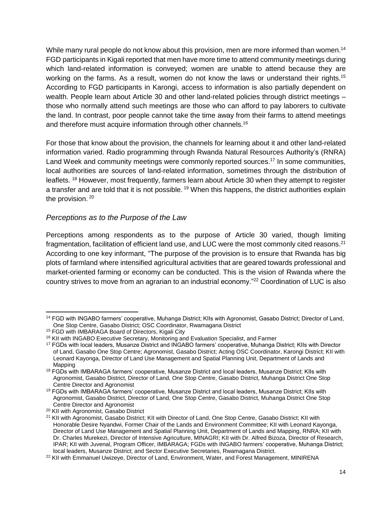While many rural people do not know about this provision, men are more informed than women.<sup>14</sup> FGD participants in Kigali reported that men have more time to attend community meetings during which land-related information is conveyed; women are unable to attend because they are working on the farms. As a result, women do not know the laws or understand their rights.<sup>15</sup> According to FGD participants in Karongi, access to information is also partially dependent on wealth. People learn about Article 30 and other land-related policies through district meetings – those who normally attend such meetings are those who can afford to pay laborers to cultivate the land. In contrast, poor people cannot take the time away from their farms to attend meetings and therefore must acquire information through other channels.<sup>16</sup>

For those that know about the provision, the channels for learning about it and other land-related information varied. Radio programming through Rwanda Natural Resources Authority's (RNRA) Land Week and community meetings were commonly reported sources.<sup>17</sup> In some communities, local authorities are sources of land-related information, sometimes through the distribution of leaflets. <sup>18</sup> However, most frequently, farmers learn about Article 30 when they attempt to register a transfer and are told that it is not possible.<sup>19</sup> When this happens, the district authorities explain the provision.<sup>20</sup>

#### <span id="page-13-0"></span>*Perceptions as to the Purpose of the Law*

Perceptions among respondents as to the purpose of Article 30 varied, though limiting fragmentation, facilitation of efficient land use, and LUC were the most commonly cited reasons.<sup>21</sup> According to one key informant, "The purpose of the provision is to ensure that Rwanda has big plots of farmland where intensified agricultural activities that are geared towards professional and market-oriented farming or economy can be conducted. This is the vision of Rwanda where the country strives to move from an agrarian to an industrial economy."<sup>22</sup> Coordination of LUC is also

l

<sup>14</sup> FGD with INGABO farmers' cooperative, Muhanga District; KIIs with Agronomist, Gasabo District; Director of Land, One Stop Centre, Gasabo District; OSC Coordinator, Rwamagana District

<sup>15</sup> FGD with IMBARAGA Board of Directors, Kigali City

<sup>&</sup>lt;sup>16</sup> KII with INGABO Executive Secretary, Monitoring and Evaluation Specialist, and Farmer

<sup>17</sup> FGDs with local leaders, Musanze District and INGABO farmers' cooperative, Muhanga District; KIIs with Director of Land, Gasabo One Stop Centre; Agronomist, Gasabo District; Acting OSC Coordinator, Karongi District; KII with Leonard Kayonga, Director of Land Use Management and Spatial Planning Unit, Department of Lands and Mapping

<sup>&</sup>lt;sup>18</sup> FGDs with IMBARAGA farmers' cooperative, Musanze District and local leaders, Musanze District; KIIs with Agronomist, Gasabo District, Director of Land, One Stop Centre, Gasabo District, Muhanga District One Stop Centre Director and Agronomist

<sup>19</sup> FGDs with IMBARAGA farmers' cooperative, Musanze District and local leaders, Musanze District; KIIs with Agronomist, Gasabo District, Director of Land, One Stop Centre, Gasabo District, Muhanga District One Stop Centre Director and Agronomist

<sup>20</sup> KII with Agronomist, Gasabo District

<sup>&</sup>lt;sup>21</sup> KII with Agronomist, Gasabo District; KII with Director of Land, One Stop Centre, Gasabo District; KII with Honorable Desire Nyandwi, Former Chair of the Lands and Environment Committee; KII with Leonard Kayonga, Director of Land Use Management and Spatial Planning Unit, Department of Lands and Mapping, RNRA; KII with Dr. Charles Murekezi, Director of Intensive Agriculture, MINAGRI; KII with Dr. Alfred Bizoza, Director of Research, IPAR; KII with Juvenal, Program Officer, IMBARAGA; FGDs with INGABO farmers' cooperative, Muhanga District; local leaders, Musanze District; and Sector Executive Secretaries, Rwamagana District.

<sup>&</sup>lt;sup>22</sup> KII with Emmanuel Uwizeye, Director of Land, Environment, Water, and Forest Management, MINIRENA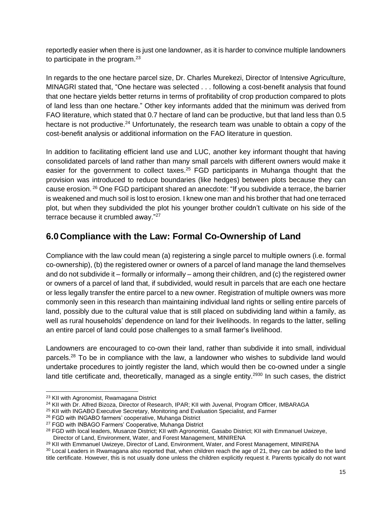reportedly easier when there is just one landowner, as it is harder to convince multiple landowners to participate in the program. $23$ 

In regards to the one hectare parcel size, Dr. Charles Murekezi, Director of Intensive Agriculture, MINAGRI stated that, "One hectare was selected . . . following a cost-benefit analysis that found that one hectare yields better returns in terms of profitability of crop production compared to plots of land less than one hectare." Other key informants added that the minimum was derived from FAO literature, which stated that 0.7 hectare of land can be productive, but that land less than 0.5 hectare is not productive.<sup>24</sup> Unfortunately, the research team was unable to obtain a copy of the cost-benefit analysis or additional information on the FAO literature in question.

In addition to facilitating efficient land use and LUC, another key informant thought that having consolidated parcels of land rather than many small parcels with different owners would make it easier for the government to collect taxes.<sup>25</sup> FGD participants in Muhanga thought that the provision was introduced to reduce boundaries (like hedges) between plots because they can cause erosion. <sup>26</sup> One FGD participant shared an anecdote: "If you subdivide a terrace, the barrier is weakened and much soil is lost to erosion. I knew one man and his brother that had one terraced plot, but when they subdivided the plot his younger brother couldn't cultivate on his side of the terrace because it crumbled away."<sup>27</sup>

# <span id="page-14-0"></span>**6.0 Compliance with the Law: Formal Co-Ownership of Land**

Compliance with the law could mean (a) registering a single parcel to multiple owners (i.e. formal co-ownership), (b) the registered owner or owners of a parcel of land manage the land themselves and do not subdivide it – formally or informally – among their children, and (c) the registered owner or owners of a parcel of land that, if subdivided, would result in parcels that are each one hectare or less legally transfer the entire parcel to a new owner. Registration of multiple owners was more commonly seen in this research than maintaining individual land rights or selling entire parcels of land, possibly due to the cultural value that is still placed on subdividing land within a family, as well as rural households' dependence on land for their livelihoods. In regards to the latter, selling an entire parcel of land could pose challenges to a small farmer's livelihood.

Landowners are encouraged to co-own their land, rather than subdivide it into small, individual parcels.<sup>28</sup> To be in compliance with the law, a landowner who wishes to subdivide land would undertake procedures to jointly register the land, which would then be co-owned under a single land title certificate and, theoretically, managed as a single entity.<sup>2930</sup> In such cases, the district

<sup>23</sup> KII with Agronomist, Rwamagana District

<sup>&</sup>lt;sup>24</sup> KII with Dr. Alfred Bizoza, Director of Research, IPAR; KII with Juvenal, Program Officer, IMBARAGA

<sup>&</sup>lt;sup>25</sup> KII with INGABO Executive Secretary, Monitoring and Evaluation Specialist, and Farmer

<sup>26</sup> FGD with INGABO farmers' cooperative, Muhanga District

<sup>27</sup> FGD with INBAGO Farmers' Cooperative, Muhanga District

<sup>&</sup>lt;sup>28</sup> FGD with local leaders, Musanze District: KII with Agronomist, Gasabo District: KII with Emmanuel Uwizeye, Director of Land, Environment, Water, and Forest Management, MINIRENA

<sup>&</sup>lt;sup>29</sup> KII with Emmanuel Uwizeye, Director of Land, Environment, Water, and Forest Management, MINIRENA

<sup>&</sup>lt;sup>30</sup> Local Leaders in Rwamagana also reported that, when children reach the age of 21, they can be added to the land title certificate. However, this is not usually done unless the children explicitly request it. Parents typically do not want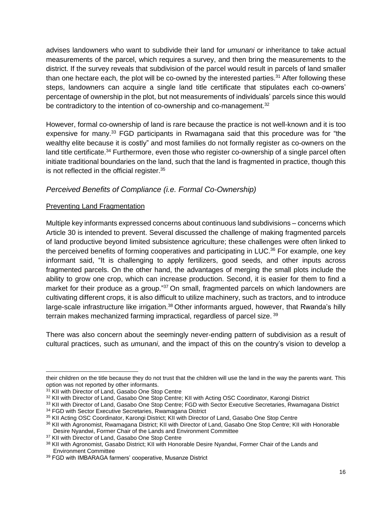advises landowners who want to subdivide their land for *umunani* or inheritance to take actual measurements of the parcel, which requires a survey, and then bring the measurements to the district. If the survey reveals that subdivision of the parcel would result in parcels of land smaller than one hectare each, the plot will be co-owned by the interested parties.<sup>31</sup> After following these steps, landowners can acquire a single land title certificate that stipulates each co-owners' percentage of ownership in the plot, but not measurements of individuals' parcels since this would be contradictory to the intention of co-ownership and co-management.<sup>32</sup>

However, formal co-ownership of land is rare because the practice is not well-known and it is too expensive for many.<sup>33</sup> FGD participants in Rwamagana said that this procedure was for "the wealthy elite because it is costly" and most families do not formally register as co-owners on the land title certificate.<sup>34</sup> Furthermore, even those who register co-ownership of a single parcel often initiate traditional boundaries on the land, such that the land is fragmented in practice, though this is not reflected in the official register.<sup>35</sup>

#### *Perceived Benefits of Compliance (i.e. Formal Co-Ownership)*

#### Preventing Land Fragmentation

Multiple key informants expressed concerns about continuous land subdivisions – concerns which Article 30 is intended to prevent. Several discussed the challenge of making fragmented parcels of land productive beyond limited subsistence agriculture; these challenges were often linked to the perceived benefits of forming cooperatives and participating in LUC.<sup>36</sup> For example, one key informant said, "It is challenging to apply fertilizers, good seeds, and other inputs across fragmented parcels. On the other hand, the advantages of merging the small plots include the ability to grow one crop, which can increase production. Second, it is easier for them to find a market for their produce as a group."37 On small, fragmented parcels on which landowners are cultivating different crops, it is also difficult to utilize machinery, such as tractors, and to introduce large-scale infrastructure like irrigation.<sup>38</sup> Other informants argued, however, that Rwanda's hilly terrain makes mechanized farming impractical, regardless of parcel size.<sup>39</sup>

There was also concern about the seemingly never-ending pattern of subdivision as a result of cultural practices, such as *umunani*, and the impact of this on the country's vision to develop a

their children on the title because they do not trust that the children will use the land in the way the parents want. This option was not reported by other informants.

<sup>&</sup>lt;sup>31</sup> KII with Director of Land, Gasabo One Stop Centre

<sup>&</sup>lt;sup>32</sup> KII with Director of Land, Gasabo One Stop Centre; KII with Acting OSC Coordinator, Karongi District

<sup>33</sup> KII with Director of Land, Gasabo One Stop Centre; FGD with Sector Executive Secretaries, Rwamagana District <sup>34</sup> FGD with Sector Executive Secretaries, Rwamagana District

<sup>35</sup> KII Acting OSC Coordinator, Karongi District; KII with Director of Land, Gasabo One Stop Centre

<sup>36</sup> KII with Agronomist, Rwamagana District; KII with Director of Land, Gasabo One Stop Centre; KII with Honorable Desire Nyandwi, Former Chair of the Lands and Environment Committee

<sup>&</sup>lt;sup>37</sup> KII with Director of Land, Gasabo One Stop Centre

<sup>38</sup> KII with Agronomist, Gasabo District; KII with Honorable Desire Nyandwi, Former Chair of the Lands and Environment Committee

<sup>39</sup> FGD with IMBARAGA farmers' cooperative, Musanze District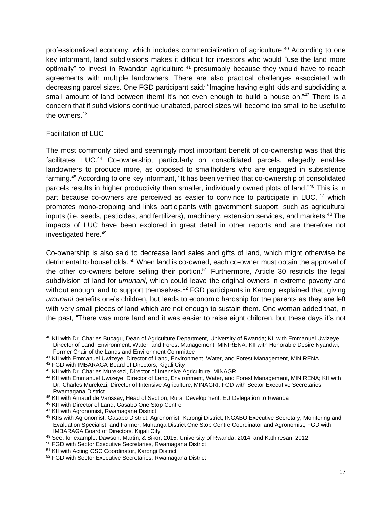professionalized economy, which includes commercialization of agriculture.<sup>40</sup> According to one key informant, land subdivisions makes it difficult for investors who would "use the land more optimally" to invest in Rwandan agriculture, $41$  presumably because they would have to reach agreements with multiple landowners. There are also practical challenges associated with decreasing parcel sizes. One FGD participant said*:* "Imagine having eight kids and subdividing a small amount of land between them! It's not even enough to build a house on.<sup>"42</sup> There is a concern that if subdivisions continue unabated, parcel sizes will become too small to be useful to the owners.<sup>43</sup>

#### Facilitation of LUC

ı

The most commonly cited and seemingly most important benefit of co-ownership was that this facilitates LUC.<sup>44</sup> Co-ownership, particularly on consolidated parcels, allegedly enables landowners to produce more, as opposed to smallholders who are engaged in subsistence farming.<sup>45</sup> According to one key informant, "It has been verified that co-ownership of consolidated parcels results in higher productivity than smaller, individually owned plots of land."<sup>46</sup> This is in part because co-owners are perceived as easier to convince to participate in LUC, <sup>47</sup> which promotes mono-cropping and links participants with government support, such as agricultural inputs (i.e. seeds, pesticides, and fertilizers), machinery, extension services, and markets.<sup>48</sup> The impacts of LUC have been explored in great detail in other reports and are therefore not investigated here.<sup>49</sup>

Co-ownership is also said to decrease land sales and gifts of land, which might otherwise be detrimental to households.<sup>50</sup> When land is co-owned, each co-owner must obtain the approval of the other co-owners before selling their portion.<sup>51</sup> Furthermore, Article 30 restricts the legal subdivision of land for *umunani*, which could leave the original owners in extreme poverty and without enough land to support themselves.<sup>52</sup> FGD participants in Karongi explained that, giving *umunani* benefits one's children, but leads to economic hardship for the parents as they are left with very small pieces of land which are not enough to sustain them. One woman added that, in the past, "There was more land and it was easier to raise eight children, but these days it's not

<sup>40</sup> KII with Dr. Charles Bucagu, Dean of Agriculture Department, University of Rwanda; KII with Emmanuel Uwizeye, Director of Land, Environment, Water, and Forest Management, MINIRENA; KII with Honorable Desire Nyandwi, Former Chair of the Lands and Environment Committee

<sup>41</sup> KII with Emmanuel Uwizeye, Director of Land, Environment, Water, and Forest Management, MINIRENA

<sup>42</sup> FGD with IMBARAGA Board of Directors, Kigali City

<sup>43</sup> KII with Dr. Charles Murekezi, Director of Intensive Agriculture, MINAGRI

<sup>44</sup> KII with Emmanuel Uwizeye, Director of Land, Environment, Water, and Forest Management, MINIRENA; KII with Dr. Charles Murekezi, Director of Intensive Agriculture, MINAGRI; FGD with Sector Executive Secretaries, Rwamagana District

<sup>45</sup> KII with Arnaud de Vanssay, Head of Section, Rural Development, EU Delegation to Rwanda

<sup>46</sup> KII with Director of Land, Gasabo One Stop Centre

<sup>47</sup> KII with Agronomist, Rwamagana District

<sup>48</sup> KIIs with Agronomist, Gasabo District; Agronomist, Karongi District; INGABO Executive Secretary, Monitoring and Evaluation Specialist, and Farmer; Muhanga District One Stop Centre Coordinator and Agronomist; FGD with IMBARAGA Board of Directors, Kigali City

<sup>49</sup> See, for example: Dawson, Martin, & Sikor, 2015; University of Rwanda, 2014; and Kathiresan, 2012.

<sup>50</sup> FGD with Sector Executive Secretaries, Rwamagana District

<sup>51</sup> KII with Acting OSC Coordinator, Karongi District

<sup>52</sup> FGD with Sector Executive Secretaries, Rwamagana District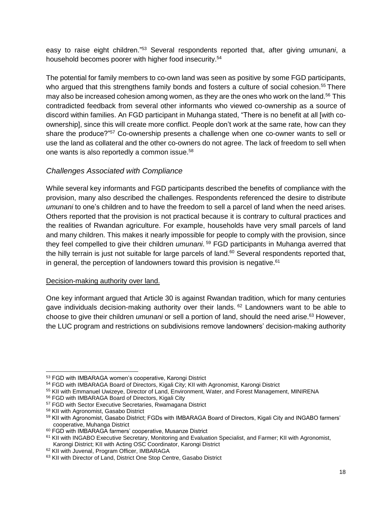easy to raise eight children."<sup>53</sup> Several respondents reported that, after giving *umunani*, a household becomes poorer with higher food insecurity.<sup>54</sup>

The potential for family members to co-own land was seen as positive by some FGD participants, who argued that this strengthens family bonds and fosters a culture of social cohesion.<sup>55</sup> There may also be increased cohesion among women, as they are the ones who work on the land.<sup>56</sup> This contradicted feedback from several other informants who viewed co-ownership as a source of discord within families. An FGD participant in Muhanga stated, "There is no benefit at all [with coownership], since this will create more conflict. People don't work at the same rate, how can they share the produce?"<sup>57</sup> Co-ownership presents a challenge when one co-owner wants to sell or use the land as collateral and the other co-owners do not agree. The lack of freedom to sell when one wants is also reportedly a common issue.<sup>58</sup>

#### <span id="page-17-0"></span>*Challenges Associated with Compliance*

While several key informants and FGD participants described the benefits of compliance with the provision, many also described the challenges. Respondents referenced the desire to distribute *umunani* to one's children and to have the freedom to sell a parcel of land when the need arises. Others reported that the provision is not practical because it is contrary to cultural practices and the realities of Rwandan agriculture. For example, households have very small parcels of land and many children. This makes it nearly impossible for people to comply with the provision, since they feel compelled to give their children *umunani*. <sup>59</sup> FGD participants in Muhanga averred that the hilly terrain is just not suitable for large parcels of land. $60$  Several respondents reported that, in general, the perception of landowners toward this provision is negative. $61$ 

#### Decision-making authority over land.

One key informant argued that Article 30 is against Rwandan tradition, which for many centuries gave individuals decision-making authority over their lands. <sup>62</sup> Landowners want to be able to choose to give their children *umunani* or sell a portion of land, should the need arise.<sup>63</sup> However, the LUC program and restrictions on subdivisions remove landowners' decision-making authority

<sup>53</sup> FGD with IMBARAGA women's cooperative, Karongi District

<sup>54</sup> FGD with IMBARAGA Board of Directors, Kigali City; KII with Agronomist, Karongi District

<sup>55</sup> KII with Emmanuel Uwizeye, Director of Land, Environment, Water, and Forest Management, MINIRENA

<sup>56</sup> FGD with IMBARAGA Board of Directors, Kigali City

<sup>57</sup> FGD with Sector Executive Secretaries, Rwamagana District

<sup>58</sup> KII with Agronomist, Gasabo District

<sup>&</sup>lt;sup>59</sup> KII with Agronomist, Gasabo District; FGDs with IMBARAGA Board of Directors, Kigali City and INGABO farmers' cooperative, Muhanga District

<sup>60</sup> FGD with IMBARAGA farmers' cooperative, Musanze District

<sup>61</sup> KII with INGABO Executive Secretary, Monitoring and Evaluation Specialist, and Farmer; KII with Agronomist, Karongi District; KII with Acting OSC Coordinator, Karongi District

<sup>62</sup> KII with Juvenal, Program Officer, IMBARAGA

<sup>&</sup>lt;sup>63</sup> KII with Director of Land, District One Stop Centre, Gasabo District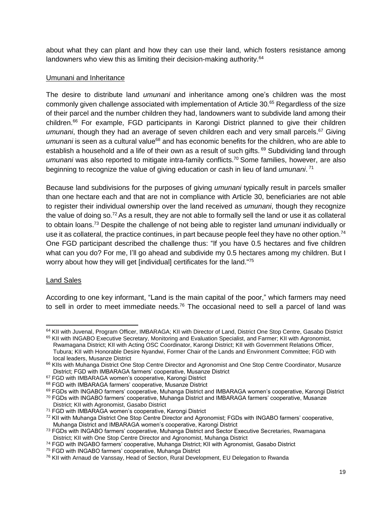about what they can plant and how they can use their land, which fosters resistance among landowners who view this as limiting their decision-making authority.<sup>64</sup>

#### Umunani and Inheritance

The desire to distribute land *umunani* and inheritance among one's children was the most commonly given challenge associated with implementation of Article 30.<sup>65</sup> Regardless of the size of their parcel and the number children they had, landowners want to subdivide land among their children.<sup>66</sup> For example, FGD participants in Karongi District planned to give their children umunani, though they had an average of seven children each and very small parcels.<sup>67</sup> Giving *umunani* is seen as a cultural value<sup>68</sup> and has economic benefits for the children, who are able to establish a household and a life of their own as a result of such gifts. <sup>69</sup> Subdividing land through *umunani* was also reported to mitigate intra-family conflicts.<sup>70</sup> Some families, however, are also beginning to recognize the value of giving education or cash in lieu of land *umunani*. 71

Because land subdivisions for the purposes of giving *umunani* typically result in parcels smaller than one hectare each and that are not in compliance with Article 30, beneficiaries are not able to register their individual ownership over the land received as *umunani*, though they recognize the value of doing so.<sup>72</sup> As a result, they are not able to formally sell the land or use it as collateral to obtain loans.<sup>73</sup> Despite the challenge of not being able to register land *umunani* individually or use it as collateral*,* the practice continues, in part because people feel they have no other option.<sup>74</sup> One FGD participant described the challenge thus: "If you have 0.5 hectares and five children what can you do? For me, I'll go ahead and subdivide my 0.5 hectares among my children. But I worry about how they will get [individual] certificates for the land."75

#### Land Sales

l

According to one key informant, "Land is the main capital of the poor," which farmers may need to sell in order to meet immediate needs.<sup>76</sup> The occasional need to sell a parcel of land was

<sup>&</sup>lt;sup>64</sup> KII with Juvenal, Program Officer, IMBARAGA; KII with Director of Land, District One Stop Centre, Gasabo District

<sup>65</sup> KII with INGABO Executive Secretary, Monitoring and Evaluation Specialist, and Farmer; KII with Agronomist, Rwamagana District; KII with Acting OSC Coordinator, Karongi District; KII with Government Relations Officer, Tubura; KII with Honorable Desire Nyandwi, Former Chair of the Lands and Environment Committee; FGD with local leaders, Musanze District

<sup>66</sup> KIIs with Muhanga District One Stop Centre Director and Agronomist and One Stop Centre Coordinator, Musanze District; FGD with IMBARAGA farmers' cooperative, Musanze District

<sup>67</sup> FGD with IMBARAGA women's cooperative, Karongi District

<sup>68</sup> FGD with IMBARAGA farmers' cooperative, Musanze District

<sup>&</sup>lt;sup>69</sup> FGDs with INGABO farmers' cooperative, Muhanga District and IMBARAGA women's cooperative, Karongi District

<sup>70</sup> FGDs with INGABO farmers' cooperative, Muhanga District and IMBARAGA farmers' cooperative, Musanze

District; KII with Agronomist, Gasabo District

<sup>71</sup> FGD with IMBARAGA women's cooperative, Karongi District

<sup>72</sup> KII with Muhanga District One Stop Centre Director and Agronomist; FGDs with INGABO farmers' cooperative, Muhanga District and IMBARAGA women's cooperative, Karongi District

<sup>&</sup>lt;sup>73</sup> FGDs with INGABO farmers' cooperative, Muhanga District and Sector Executive Secretaries, Rwamagana District; KII with One Stop Centre Director and Agronomist, Muhanga District

<sup>74</sup> FGD with INGABO farmers' cooperative, Muhanga District; KII with Agronomist, Gasabo District

<sup>75</sup> FGD with INGABO farmers' cooperative, Muhanga District

<sup>&</sup>lt;sup>76</sup> KII with Arnaud de Vanssay, Head of Section, Rural Development, EU Delegation to Rwanda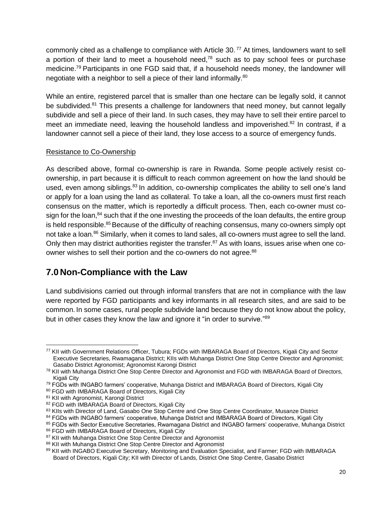commonly cited as a challenge to compliance with Article 30.<sup>77</sup> At times, landowners want to sell a portion of their land to meet a household need, $78$  such as to pay school fees or purchase medicine.<sup>79</sup> Participants in one FGD said that, if a household needs money, the landowner will negotiate with a neighbor to sell a piece of their land informally.<sup>80</sup>

While an entire, registered parcel that is smaller than one hectare can be legally sold, it cannot be subdivided.<sup>81</sup> This presents a challenge for landowners that need money, but cannot legally subdivide and sell a piece of their land. In such cases, they may have to sell their entire parcel to meet an immediate need, leaving the household landless and impoverished. $82$  In contrast, if a landowner cannot sell a piece of their land, they lose access to a source of emergency funds.

#### Resistance to Co-Ownership

As described above, formal co-ownership is rare in Rwanda. Some people actively resist coownership, in part because it is difficult to reach common agreement on how the land should be used, even among siblings.<sup>83</sup> In addition, co-ownership complicates the ability to sell one's land or apply for a loan using the land as collateral. To take a loan, all the co-owners must first reach consensus on the matter, which is reportedly a difficult process. Then, each co-owner must cosign for the loan, $84$  such that if the one investing the proceeds of the loan defaults, the entire group is held responsible.<sup>85</sup> Because of the difficulty of reaching consensus, many co-owners simply opt not take a loan.<sup>86</sup> Similarly, when it comes to land sales, all co-owners must agree to sell the land. Only then may district authorities register the transfer.<sup>87</sup> As with loans, issues arise when one coowner wishes to sell their portion and the co-owners do not agree.<sup>88</sup>

# <span id="page-19-0"></span>**7.0 Non-Compliance with the Law**

Land subdivisions carried out through informal transfers that are not in compliance with the law were reported by FGD participants and key informants in all research sites, and are said to be common. In some cases, rural people subdivide land because they do not know about the policy, but in other cases they know the law and ignore it "in order to survive."<sup>89</sup>

<sup>80</sup> FGD with IMBARAGA Board of Directors, Kigali City

ı

84 FGDs with INGABO farmers' cooperative, Muhanga District and IMBARAGA Board of Directors, Kigali City

<sup>77</sup> KII with Government Relations Officer, Tubura; FGDs with IMBARAGA Board of Directors, Kigali City and Sector Executive Secretaries, Rwamagana District; KIIs with Muhanga District One Stop Centre Director and Agronomist; Gasabo District Agronomist; Agronomist Karongi District

<sup>&</sup>lt;sup>78</sup> KII with Muhanga District One Stop Centre Director and Agronomist and FGD with IMBARAGA Board of Directors, Kigali City

<sup>&</sup>lt;sup>79</sup> FGDs with INGABO farmers' cooperative, Muhanga District and IMBARAGA Board of Directors, Kigali City

<sup>81</sup> KII with Agronomist, Karongi District

<sup>82</sup> FGD with IMBARAGA Board of Directors, Kigali City

<sup>83</sup> KIIs with Director of Land, Gasabo One Stop Centre and One Stop Centre Coordinator, Musanze District

<sup>85</sup> FGDs with Sector Executive Secretaries, Rwamagana District and INGABO farmers' cooperative, Muhanga District

<sup>86</sup> FGD with IMBARAGA Board of Directors, Kigali City

<sup>&</sup>lt;sup>87</sup> KII with Muhanga District One Stop Centre Director and Agronomist

<sup>88</sup> KII with Muhanga District One Stop Centre Director and Agronomist

<sup>89</sup> KII with INGABO Executive Secretary, Monitoring and Evaluation Specialist, and Farmer; FGD with IMBARAGA Board of Directors, Kigali City; KII with Director of Lands, District One Stop Centre, Gasabo District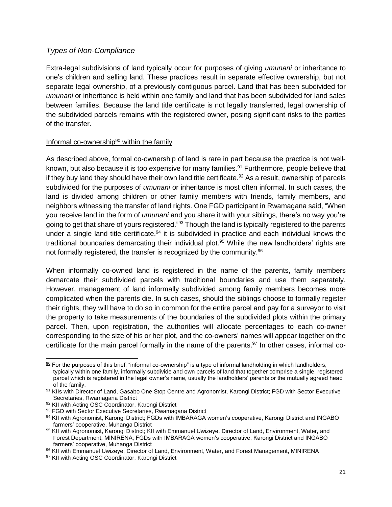#### <span id="page-20-0"></span>*Types of Non-Compliance*

Extra-legal subdivisions of land typically occur for purposes of giving *umunani* or inheritance to one's children and selling land. These practices result in separate effective ownership, but not separate legal ownership, of a previously contiguous parcel. Land that has been subdivided for *umunani* or inheritance is held within one family and land that has been subdivided for land sales between families. Because the land title certificate is not legally transferred, legal ownership of the subdivided parcels remains with the registered owner, posing significant risks to the parties of the transfer.

#### Informal co-ownership $90$  within the family

As described above, formal co-ownership of land is rare in part because the practice is not wellknown, but also because it is too expensive for many families.<sup>91</sup> Furthermore, people believe that if they buy land they should have their own land title certificate.<sup>92</sup> As a result, ownership of parcels subdivided for the purposes of *umunani* or inheritance is most often informal. In such cases, the land is divided among children or other family members with friends, family members, and neighbors witnessing the transfer of land rights. One FGD participant in Rwamagana said, "When you receive land in the form of *umunani* and you share it with your siblings, there's no way you're going to get that share of yours registered."<sup>93</sup> Though the land is typically registered to the parents under a single land title certificate,  $94$  it is subdivided in practice and each individual knows the traditional boundaries demarcating their individual plot.<sup>95</sup> While the new landholders' rights are not formally registered, the transfer is recognized by the community.<sup>96</sup>

When informally co-owned land is registered in the name of the parents, family members demarcate their subdivided parcels with traditional boundaries and use them separately. However, management of land informally subdivided among family members becomes more complicated when the parents die. In such cases, should the siblings choose to formally register their rights, they will have to do so in common for the entire parcel and pay for a surveyor to visit the property to take measurements of the boundaries of the subdivided plots within the primary parcel. Then, upon registration, the authorities will allocate percentages to each co-owner corresponding to the size of his or her plot, and the co-owners' names will appear together on the certificate for the main parcel formally in the name of the parents. $97$  In other cases, informal co-

l

 $90$  For the purposes of this brief, "informal co-ownership" is a type of informal landholding in which landholders, typically within one family, informally subdivide and own parcels of land that together comprise a single, registered parcel which is registered in the legal owner's name, usually the landholders' parents or the mutually agreed head of the family.

<sup>91</sup> KIIs with Director of Land, Gasabo One Stop Centre and Agronomist, Karongi District; FGD with Sector Executive Secretaries, Rwamagana District

<sup>92</sup> KII with Acting OSC Coordinator, Karongi District

<sup>93</sup> FGD with Sector Executive Secretaries, Rwamagana District

<sup>94</sup> KII with Agronomist, Karongi District; FGDs with IMBARAGA women's cooperative, Karongi District and INGABO farmers' cooperative, Muhanga District

<sup>95</sup> KII with Agronomist, Karongi District; KII with Emmanuel Uwizeye, Director of Land, Environment, Water, and Forest Department, MINIRENA; FGDs with IMBARAGA women's cooperative, Karongi District and INGABO farmers' cooperative, Muhanga District

<sup>96</sup> KII with Emmanuel Uwizeye, Director of Land, Environment, Water, and Forest Management, MINIRENA

<sup>97</sup> KII with Acting OSC Coordinator, Karongi District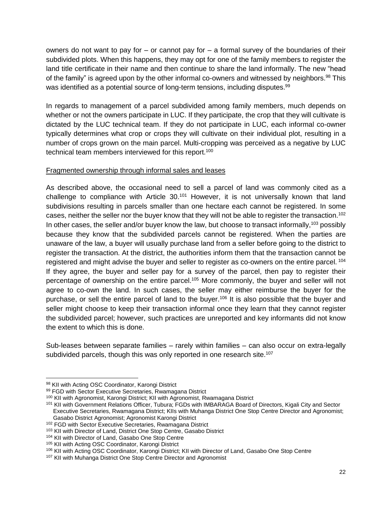owners do not want to pay for  $-$  or cannot pay for  $-$  a formal survey of the boundaries of their subdivided plots. When this happens, they may opt for one of the family members to register the land title certificate in their name and then continue to share the land informally. The new "head of the family" is agreed upon by the other informal co-owners and witnessed by neighbors.<sup>98</sup> This was identified as a potential source of long-term tensions, including disputes.<sup>99</sup>

In regards to management of a parcel subdivided among family members, much depends on whether or not the owners participate in LUC. If they participate, the crop that they will cultivate is dictated by the LUC technical team. If they do not participate in LUC, each informal co-owner typically determines what crop or crops they will cultivate on their individual plot, resulting in a number of crops grown on the main parcel. Multi-cropping was perceived as a negative by LUC technical team members interviewed for this report.<sup>100</sup>

#### Fragmented ownership through informal sales and leases

As described above, the occasional need to sell a parcel of land was commonly cited as a challenge to compliance with Article 30.<sup>101</sup> However, it is not universally known that land subdivisions resulting in parcels smaller than one hectare each cannot be registered. In some cases, neither the seller nor the buyer know that they will not be able to register the transaction.<sup>102</sup> In other cases, the seller and/or buyer know the law, but choose to transact informally,<sup>103</sup> possibly because they know that the subdivided parcels cannot be registered. When the parties are unaware of the law, a buyer will usually purchase land from a seller before going to the district to register the transaction. At the district, the authorities inform them that the transaction cannot be registered and might advise the buyer and seller to register as co-owners on the entire parcel. <sup>104</sup> If they agree, the buyer and seller pay for a survey of the parcel, then pay to register their percentage of ownership on the entire parcel.<sup>105</sup> More commonly, the buyer and seller will not agree to co-own the land. In such cases, the seller may either reimburse the buyer for the purchase, or sell the entire parcel of land to the buyer.<sup>106</sup> It is also possible that the buyer and seller might choose to keep their transaction informal once they learn that they cannot register the subdivided parcel; however, such practices are unreported and key informants did not know the extent to which this is done.

Sub-leases between separate families – rarely within families – can also occur on extra-legally subdivided parcels, though this was only reported in one research site.<sup>107</sup>

ı

<sup>98</sup> KII with Acting OSC Coordinator, Karongi District

<sup>99</sup> FGD with Sector Executive Secretaries, Rwamagana District

<sup>100</sup> KII with Agronomist, Karongi District; KII with Agronomist, Rwamagana District

<sup>101</sup> KII with Government Relations Officer, Tubura; FGDs with IMBARAGA Board of Directors, Kigali City and Sector Executive Secretaries, Rwamagana District; KIIs with Muhanga District One Stop Centre Director and Agronomist; Gasabo District Agronomist; Agronomist Karongi District

<sup>102</sup> FGD with Sector Executive Secretaries, Rwamagana District

<sup>&</sup>lt;sup>103</sup> KII with Director of Land, District One Stop Centre, Gasabo District

<sup>104</sup> KII with Director of Land, Gasabo One Stop Centre

<sup>105</sup> KII with Acting OSC Coordinator, Karongi District

<sup>&</sup>lt;sup>106</sup> KII with Acting OSC Coordinator, Karongi District; KII with Director of Land, Gasabo One Stop Centre

<sup>&</sup>lt;sup>107</sup> KII with Muhanga District One Stop Centre Director and Agronomist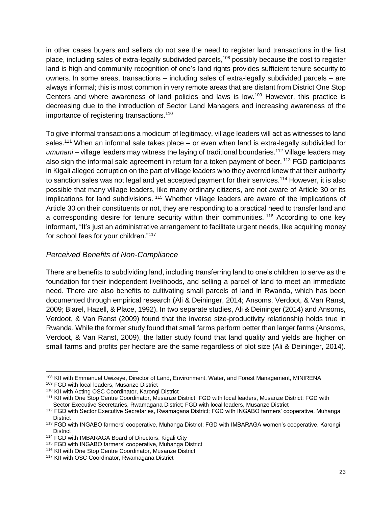in other cases buyers and sellers do not see the need to register land transactions in the first place, including sales of extra-legally subdivided parcels,<sup>108</sup> possibly because the cost to register land is high and community recognition of one's land rights provides sufficient tenure security to owners. In some areas, transactions – including sales of extra-legally subdivided parcels – are always informal; this is most common in very remote areas that are distant from District One Stop Centers and where awareness of land policies and laws is low.<sup>109</sup> However, this practice is decreasing due to the introduction of Sector Land Managers and increasing awareness of the importance of registering transactions.<sup>110</sup>

To give informal transactions a modicum of legitimacy, village leaders will act as witnesses to land sales.<sup>111</sup> When an informal sale takes place  $-$  or even when land is extra-legally subdivided for umunani – village leaders may witness the laying of traditional boundaries.<sup>112</sup> Village leaders may also sign the informal sale agreement in return for a token payment of beer. <sup>113</sup> FGD participants in Kigali alleged corruption on the part of village leaders who they averred knew that their authority to sanction sales was not legal and yet accepted payment for their services.<sup>114</sup> However, it is also possible that many village leaders, like many ordinary citizens, are not aware of Article 30 or its implications for land subdivisions.<sup>115</sup> Whether village leaders are aware of the implications of Article 30 on their constituents or not, they are responding to a practical need to transfer land and a corresponding desire for tenure security within their communities. <sup>116</sup> According to one key informant, "It's just an administrative arrangement to facilitate urgent needs, like acquiring money for school fees for your children."<sup>117</sup>

#### <span id="page-22-0"></span>*Perceived Benefits of Non-Compliance*

There are benefits to subdividing land, including transferring land to one's children to serve as the foundation for their independent livelihoods, and selling a parcel of land to meet an immediate need. There are also benefits to cultivating small parcels of land in Rwanda, which has been documented through empirical research (Ali & Deininger, 2014; Ansoms, Verdoot, & Van Ranst, 2009; Blarel, Hazell, & Place, 1992). In two separate studies, Ali & Deininger (2014) and Ansoms, Verdoot, & Van Ranst (2009) found that the inverse size-productivity relationship holds true in Rwanda. While the former study found that small farms perform better than larger farms (Ansoms, Verdoot, & Van Ranst, 2009), the latter study found that land quality and yields are higher on small farms and profits per hectare are the same regardless of plot size (Ali & Deininger, 2014).

<sup>108</sup> KII with Emmanuel Uwizeye, Director of Land, Environment, Water, and Forest Management, MINIRENA <sup>109</sup> FGD with local leaders, Musanze District

<sup>110</sup> KII with Acting OSC Coordinator, Karongi District

<sup>111</sup> KII with One Stop Centre Coordinator, Musanze District; FGD with local leaders, Musanze District; FGD with Sector Executive Secretaries, Rwamagana District; FGD with local leaders, Musanze District

<sup>112</sup> FGD with Sector Executive Secretaries, Rwamagana District; FGD with INGABO farmers' cooperative, Muhanga **District** 

<sup>113</sup> FGD with INGABO farmers' cooperative, Muhanga District; FGD with IMBARAGA women's cooperative, Karongi **District** 

<sup>114</sup> FGD with IMBARAGA Board of Directors, Kigali City

<sup>115</sup> FGD with INGABO farmers' cooperative, Muhanga District

<sup>116</sup> KII with One Stop Centre Coordinator, Musanze District

<sup>117</sup> KII with OSC Coordinator, Rwamagana District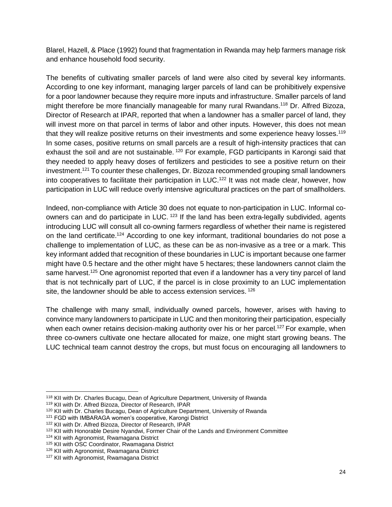Blarel, Hazell, & Place (1992) found that fragmentation in Rwanda may help farmers manage risk and enhance household food security.

The benefits of cultivating smaller parcels of land were also cited by several key informants. According to one key informant, managing larger parcels of land can be prohibitively expensive for a poor landowner because they require more inputs and infrastructure. Smaller parcels of land might therefore be more financially manageable for many rural Rwandans.<sup>118</sup> Dr. Alfred Bizoza, Director of Research at IPAR, reported that when a landowner has a smaller parcel of land, they will invest more on that parcel in terms of labor and other inputs. However, this does not mean that they will realize positive returns on their investments and some experience heavy losses.<sup>119</sup> In some cases, positive returns on small parcels are a result of high-intensity practices that can exhaust the soil and are not sustainable.<sup>120</sup> For example, FGD participants in Karongi said that they needed to apply heavy doses of fertilizers and pesticides to see a positive return on their investment.<sup>121</sup> To counter these challenges, Dr. Bizoza recommended grouping small landowners into cooperatives to facilitate their participation in LUC.<sup>122</sup> It was not made clear, however, how participation in LUC will reduce overly intensive agricultural practices on the part of smallholders.

Indeed, non-compliance with Article 30 does not equate to non-participation in LUC. Informal coowners can and do participate in LUC.<sup>123</sup> If the land has been extra-legally subdivided, agents introducing LUC will consult all co-owning farmers regardless of whether their name is registered on the land certificate.<sup>124</sup> According to one key informant, traditional boundaries do not pose a challenge to implementation of LUC, as these can be as non-invasive as a tree or a mark. This key informant added that recognition of these boundaries in LUC is important because one farmer might have 0.5 hectare and the other might have 5 hectares; these landowners cannot claim the same harvest.<sup>125</sup> One agronomist reported that even if a landowner has a very tiny parcel of land that is not technically part of LUC, if the parcel is in close proximity to an LUC implementation site, the landowner should be able to access extension services.<sup>126</sup>

The challenge with many small, individually owned parcels, however, arises with having to convince many landowners to participate in LUC and then monitoring their participation, especially when each owner retains decision-making authority over his or her parcel.<sup>127</sup> For example, when three co-owners cultivate one hectare allocated for maize, one might start growing beans. The LUC technical team cannot destroy the crops, but must focus on encouraging all landowners to

<sup>118</sup> KII with Dr. Charles Bucagu, Dean of Agriculture Department, University of Rwanda

<sup>119</sup> KII with Dr. Alfred Bizoza, Director of Research, IPAR

<sup>&</sup>lt;sup>120</sup> KII with Dr. Charles Bucagu, Dean of Agriculture Department, University of Rwanda

<sup>&</sup>lt;sup>121</sup> FGD with IMBARAGA women's cooperative, Karongi District

<sup>122</sup> KII with Dr. Alfred Bizoza, Director of Research, IPAR

<sup>123</sup> KII with Honorable Desire Nyandwi, Former Chair of the Lands and Environment Committee

<sup>124</sup> KII with Agronomist, Rwamagana District

<sup>125</sup> KII with OSC Coordinator, Rwamagana District

<sup>126</sup> KII with Agronomist, Rwamagana District

<sup>&</sup>lt;sup>127</sup> KII with Agronomist, Rwamagana District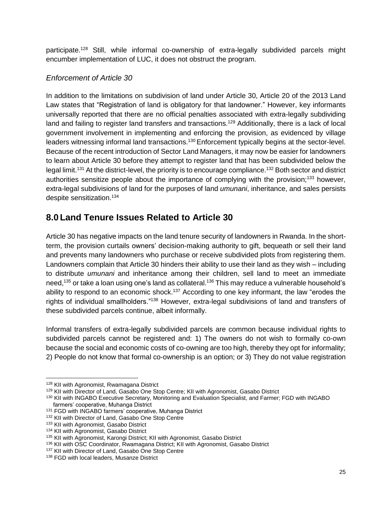participate.<sup>128</sup> Still, while informal co-ownership of extra-legally subdivided parcels might encumber implementation of LUC, it does not obstruct the program.

#### <span id="page-24-0"></span>*Enforcement of Article 30*

In addition to the limitations on subdivision of land under Article 30, Article 20 of the 2013 Land Law states that "Registration of land is obligatory for that landowner." However, key informants universally reported that there are no official penalties associated with extra-legally subdividing land and failing to register land transfers and transactions.<sup>129</sup> Additionally, there is a lack of local government involvement in implementing and enforcing the provision, as evidenced by village leaders witnessing informal land transactions.<sup>130</sup> Enforcement typically begins at the sector-level. Because of the recent introduction of Sector Land Managers, it may now be easier for landowners to learn about Article 30 before they attempt to register land that has been subdivided below the legal limit.<sup>131</sup> At the district-level, the priority is to encourage compliance.<sup>132</sup> Both sector and district authorities sensitize people about the importance of complying with the provision;<sup>133</sup> however, extra-legal subdivisions of land for the purposes of land *umunani*, inheritance, and sales persists despite sensitization.<sup>134</sup>

# <span id="page-24-1"></span>**8.0 Land Tenure Issues Related to Article 30**

Article 30 has negative impacts on the land tenure security of landowners in Rwanda. In the shortterm, the provision curtails owners' decision-making authority to gift, bequeath or sell their land and prevents many landowners who purchase or receive subdivided plots from registering them. Landowners complain that Article 30 hinders their ability to use their land as they wish – including to distribute *umunani* and inheritance among their children, sell land to meet an immediate need,<sup>135</sup> or take a loan using one's land as collateral.<sup>136</sup> This may reduce a vulnerable household's ability to respond to an economic shock.<sup>137</sup> According to one key informant, the law "erodes the rights of individual smallholders."<sup>138</sup> However, extra-legal subdivisions of land and transfers of these subdivided parcels continue, albeit informally.

Informal transfers of extra-legally subdivided parcels are common because individual rights to subdivided parcels cannot be registered and: 1) The owners do not wish to formally co-own because the social and economic costs of co-owning are too high, thereby they opt for informality; 2) People do not know that formal co-ownership is an option; or 3) They do not value registration

ı

<sup>128</sup> KII with Agronomist, Rwamagana District

<sup>&</sup>lt;sup>129</sup> KII with Director of Land, Gasabo One Stop Centre; KII with Agronomist, Gasabo District

<sup>130</sup> KII with INGABO Executive Secretary, Monitoring and Evaluation Specialist, and Farmer; FGD with INGABO farmers' cooperative, Muhanga District

<sup>&</sup>lt;sup>131</sup> FGD with INGABO farmers' cooperative, Muhanga District

<sup>132</sup> KII with Director of Land, Gasabo One Stop Centre

<sup>&</sup>lt;sup>133</sup> KII with Agronomist, Gasabo District

<sup>134</sup> KII with Agronomist, Gasabo District

<sup>&</sup>lt;sup>135</sup> KII with Agronomist, Karongi District: KII with Agronomist, Gasabo District

<sup>&</sup>lt;sup>136</sup> KII with OSC Coordinator, Rwamagana District; KII with Agronomist, Gasabo District

<sup>137</sup> KII with Director of Land, Gasabo One Stop Centre

<sup>&</sup>lt;sup>138</sup> FGD with local leaders, Musanze District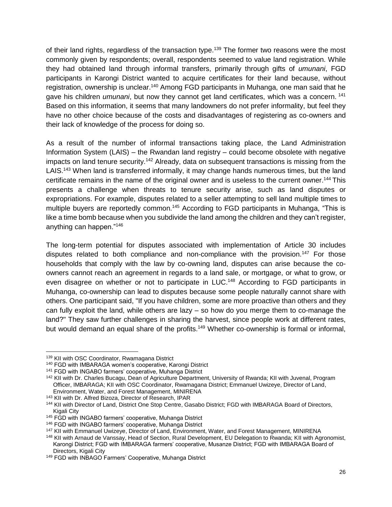of their land rights, regardless of the transaction type.<sup>139</sup> The former two reasons were the most commonly given by respondents; overall, respondents seemed to value land registration. While they had obtained land through informal transfers, primarily through gifts of *umunani*, FGD participants in Karongi District wanted to acquire certificates for their land because, without registration, ownership is unclear.<sup>140</sup> Among FGD participants in Muhanga, one man said that he gave his children *umunani*, but now they cannot get land certificates, which was a concern. <sup>141</sup> Based on this information, it seems that many landowners do not prefer informality, but feel they have no other choice because of the costs and disadvantages of registering as co-owners and their lack of knowledge of the process for doing so.

As a result of the number of informal transactions taking place, the Land Administration Information System (LAIS) – the Rwandan land registry – could become obsolete with negative impacts on land tenure security.<sup>142</sup> Already, data on subsequent transactions is missing from the LAIS.<sup>143</sup> When land is transferred informally, it may change hands numerous times, but the land certificate remains in the name of the original owner and is useless to the current owner.<sup>144</sup> This presents a challenge when threats to tenure security arise, such as land disputes or expropriations. For example, disputes related to a seller attempting to sell land multiple times to multiple buyers are reportedly common.<sup>145</sup> According to FGD participants in Muhanga, "This is like a time bomb because when you subdivide the land among the children and they can't register, anything can happen."<sup>146</sup>

The long-term potential for disputes associated with implementation of Article 30 includes disputes related to both compliance and non-compliance with the provision.<sup>147</sup> For those households that comply with the law by co-owning land, disputes can arise because the coowners cannot reach an agreement in regards to a land sale, or mortgage, or what to grow, or even disagree on whether or not to participate in LUC.<sup>148</sup> According to FGD participants in Muhanga, co-ownership can lead to disputes because some people naturally cannot share with others. One participant said, "If you have children, some are more proactive than others and they can fully exploit the land, while others are lazy – so how do you merge them to co-manage the land?" They saw further challenges in sharing the harvest, since people work at different rates, but would demand an equal share of the profits.<sup>149</sup> Whether co-ownership is formal or informal,

<sup>139</sup> KII with OSC Coordinator, Rwamagana District

<sup>140</sup> FGD with IMBARAGA women's cooperative, Karongi District

<sup>141</sup> FGD with INGABO farmers' cooperative, Muhanga District

<sup>&</sup>lt;sup>142</sup> KII with Dr. Charles Bucagu, Dean of Agriculture Department, University of Rwanda; KII with Juvenal, Program Officer, IMBARAGA; KII with OSC Coordinator, Rwamagana District; Emmanuel Uwizeye, Director of Land, Environment, Water, and Forest Management, MINIRENA

<sup>143</sup> KII with Dr. Alfred Bizoza, Director of Research, IPAR

<sup>144</sup> KII with Director of Land, District One Stop Centre, Gasabo District; FGD with IMBARAGA Board of Directors, Kigali City

<sup>145</sup> FGD with INGABO farmers' cooperative, Muhanga District

<sup>146</sup> FGD with INGABO farmers' cooperative, Muhanga District

<sup>&</sup>lt;sup>147</sup> KII with Emmanuel Uwizeye, Director of Land, Environment, Water, and Forest Management, MINIRENA

<sup>148</sup> KII with Arnaud de Vanssay, Head of Section, Rural Development, EU Delegation to Rwanda; KII with Agronomist, Karongi District; FGD with IMBARAGA farmers' cooperative, Musanze District; FGD with IMBARAGA Board of Directors, Kigali City

<sup>149</sup> FGD with INBAGO Farmers' Cooperative, Muhanga District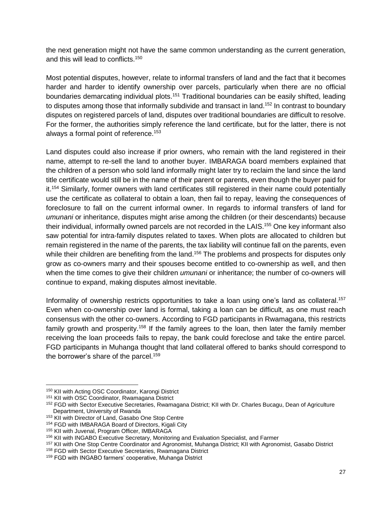the next generation might not have the same common understanding as the current generation, and this will lead to conflicts.<sup>150</sup>

Most potential disputes, however, relate to informal transfers of land and the fact that it becomes harder and harder to identify ownership over parcels, particularly when there are no official boundaries demarcating individual plots.<sup>151</sup> Traditional boundaries can be easily shifted, leading to disputes among those that informally subdivide and transact in land.<sup>152</sup> In contrast to boundary disputes on registered parcels of land, disputes over traditional boundaries are difficult to resolve. For the former, the authorities simply reference the land certificate, but for the latter, there is not always a formal point of reference.<sup>153</sup>

Land disputes could also increase if prior owners, who remain with the land registered in their name, attempt to re-sell the land to another buyer. IMBARAGA board members explained that the children of a person who sold land informally might later try to reclaim the land since the land title certificate would still be in the name of their parent or parents, even though the buyer paid for it.<sup>154</sup> Similarly, former owners with land certificates still registered in their name could potentially use the certificate as collateral to obtain a loan, then fail to repay, leaving the consequences of foreclosure to fall on the current informal owner. In regards to informal transfers of land for *umunani* or inheritance, disputes might arise among the children (or their descendants) because their individual, informally owned parcels are not recorded in the LAIS.<sup>155</sup> One key informant also saw potential for intra-family disputes related to taxes. When plots are allocated to children but remain registered in the name of the parents, the tax liability will continue fall on the parents, even while their children are benefiting from the land.<sup>156</sup> The problems and prospects for disputes only grow as co-owners marry and their spouses become entitled to co-ownership as well, and then when the time comes to give their children *umunani* or inheritance; the number of co-owners will continue to expand, making disputes almost inevitable.

Informality of ownership restricts opportunities to take a loan using one's land as collateral.<sup>157</sup> Even when co-ownership over land is formal, taking a loan can be difficult, as one must reach consensus with the other co-owners. According to FGD participants in Rwamagana, this restricts family growth and prosperity.<sup>158</sup> If the family agrees to the loan, then later the family member receiving the loan proceeds fails to repay, the bank could foreclose and take the entire parcel. FGD participants in Muhanga thought that land collateral offered to banks should correspond to the borrower's share of the parcel.<sup>159</sup>

<sup>150</sup> KII with Acting OSC Coordinator, Karongi District

<sup>151</sup> KII with OSC Coordinator, Rwamagana District

<sup>&</sup>lt;sup>152</sup> FGD with Sector Executive Secretaries, Rwamagana District; KII with Dr. Charles Bucagu, Dean of Agriculture Department, University of Rwanda

<sup>153</sup> KII with Director of Land, Gasabo One Stop Centre

<sup>154</sup> FGD with IMBARAGA Board of Directors, Kigali City

<sup>155</sup> KII with Juvenal, Program Officer, IMBARAGA

<sup>156</sup> KII with INGABO Executive Secretary, Monitoring and Evaluation Specialist, and Farmer

<sup>157</sup> KII with One Stop Centre Coordinator and Agronomist, Muhanga District; KII with Agronomist, Gasabo District

<sup>158</sup> FGD with Sector Executive Secretaries, Rwamagana District

<sup>159</sup> FGD with INGABO farmers' cooperative, Muhanga District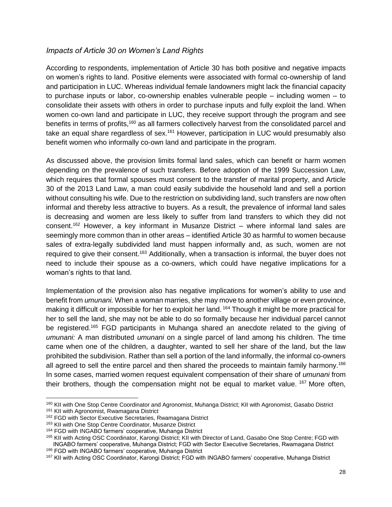#### <span id="page-27-0"></span>*Impacts of Article 30 on Women's Land Rights*

According to respondents, implementation of Article 30 has both positive and negative impacts on women's rights to land. Positive elements were associated with formal co-ownership of land and participation in LUC. Whereas individual female landowners might lack the financial capacity to purchase inputs or labor, co-ownership enables vulnerable people – including women – to consolidate their assets with others in order to purchase inputs and fully exploit the land. When women co-own land and participate in LUC, they receive support through the program and see benefits in terms of profits,<sup>160</sup> as all farmers collectively harvest from the consolidated parcel and take an equal share regardless of sex.<sup>161</sup> However, participation in LUC would presumably also benefit women who informally co-own land and participate in the program.

As discussed above, the provision limits formal land sales, which can benefit or harm women depending on the prevalence of such transfers. Before adoption of the 1999 Succession Law, which requires that formal spouses must consent to the transfer of marital property, and Article 30 of the 2013 Land Law, a man could easily subdivide the household land and sell a portion without consulting his wife. Due to the restriction on subdividing land, such transfers are now often informal and thereby less attractive to buyers. As a result, the prevalence of informal land sales is decreasing and women are less likely to suffer from land transfers to which they did not consent.<sup>162</sup> However, a key informant in Musanze District – where informal land sales are seemingly more common than in other areas – identified Article 30 as harmful to women because sales of extra-legally subdivided land must happen informally and, as such, women are not required to give their consent.<sup>163</sup> Additionally, when a transaction is informal, the buyer does not need to include their spouse as a co-owners, which could have negative implications for a woman's rights to that land.

Implementation of the provision also has negative implications for women's ability to use and benefit from *umunani.* When a woman marries, she may move to another village or even province, making it difficult or impossible for her to exploit her land.<sup>164</sup> Though it might be more practical for her to sell the land, she may not be able to do so formally because her individual parcel cannot be registered.<sup>165</sup> FGD participants in Muhanga shared an anecdote related to the giving of *umunani:* A man distributed *umunani* on a single parcel of land among his children. The time came when one of the children, a daughter, wanted to sell her share of the land, but the law prohibited the subdivision. Rather than sell a portion of the land informally, the informal co-owners all agreed to sell the entire parcel and then shared the proceeds to maintain family harmony.<sup>166</sup> In some cases, married women request equivalent compensation of their share of *umunani* from their brothers, though the compensation might not be equal to market value. <sup>167</sup> More often,

ı

<sup>160</sup> KII with One Stop Centre Coordinator and Agronomist, Muhanga District; KII with Agronomist, Gasabo District <sup>161</sup> KII with Agronomist, Rwamagana District

<sup>&</sup>lt;sup>162</sup> FGD with Sector Executive Secretaries, Rwamagana District

<sup>163</sup> KII with One Stop Centre Coordinator, Musanze District

<sup>164</sup> FGD with INGABO farmers' cooperative, Muhanga District

<sup>165</sup> KII with Acting OSC Coordinator, Karongi District; KII with Director of Land, Gasabo One Stop Centre; FGD with INGABO farmers' cooperative, Muhanga District; FGD with Sector Executive Secretaries, Rwamagana District <sup>166</sup> FGD with INGABO farmers' cooperative, Muhanga District

<sup>167</sup> KII with Acting OSC Coordinator, Karongi District; FGD with INGABO farmers' cooperative, Muhanga District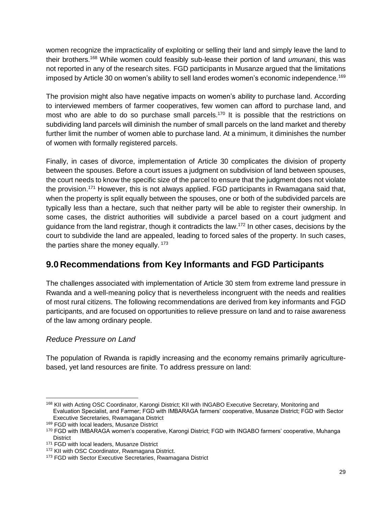women recognize the impracticality of exploiting or selling their land and simply leave the land to their brothers.<sup>168</sup> While women could feasibly sub-lease their portion of land *umunani*, this was not reported in any of the research sites. FGD participants in Musanze argued that the limitations imposed by Article 30 on women's ability to sell land erodes women's economic independence.<sup>169</sup>

The provision might also have negative impacts on women's ability to purchase land. According to interviewed members of farmer cooperatives, few women can afford to purchase land, and most who are able to do so purchase small parcels.<sup>170</sup> It is possible that the restrictions on subdividing land parcels will diminish the number of small parcels on the land market and thereby further limit the number of women able to purchase land. At a minimum, it diminishes the number of women with formally registered parcels.

Finally, in cases of divorce, implementation of Article 30 complicates the division of property between the spouses. Before a court issues a judgment on subdivision of land between spouses, the court needs to know the specific size of the parcel to ensure that the judgment does not violate the provision.<sup>171</sup> However, this is not always applied. FGD participants in Rwamagana said that, when the property is split equally between the spouses, one or both of the subdivided parcels are typically less than a hectare, such that neither party will be able to register their ownership. In some cases, the district authorities will subdivide a parcel based on a court judgment and guidance from the land registrar, though it contradicts the law.<sup>172</sup> In other cases, decisions by the court to subdivide the land are appealed, leading to forced sales of the property. In such cases, the parties share the money equally.  $173$ 

# <span id="page-28-0"></span>**9.0 Recommendations from Key Informants and FGD Participants**

The challenges associated with implementation of Article 30 stem from extreme land pressure in Rwanda and a well-meaning policy that is nevertheless incongruent with the needs and realities of most rural citizens. The following recommendations are derived from key informants and FGD participants, and are focused on opportunities to relieve pressure on land and to raise awareness of the law among ordinary people.

#### *Reduce Pressure on Land*

ı

The population of Rwanda is rapidly increasing and the economy remains primarily agriculturebased, yet land resources are finite. To address pressure on land:

<sup>168</sup> KII with Acting OSC Coordinator, Karongi District; KII with INGABO Executive Secretary, Monitoring and Evaluation Specialist, and Farmer; FGD with IMBARAGA farmers' cooperative, Musanze District; FGD with Sector Executive Secretaries, Rwamagana District

<sup>169</sup> FGD with local leaders, Musanze District

<sup>170</sup> FGD with IMBARAGA women's cooperative, Karongi District; FGD with INGABO farmers' cooperative, Muhanga **District** 

<sup>&</sup>lt;sup>171</sup> FGD with local leaders, Musanze District

<sup>172</sup> KII with OSC Coordinator, Rwamagana District.

<sup>&</sup>lt;sup>173</sup> FGD with Sector Executive Secretaries, Rwamagana District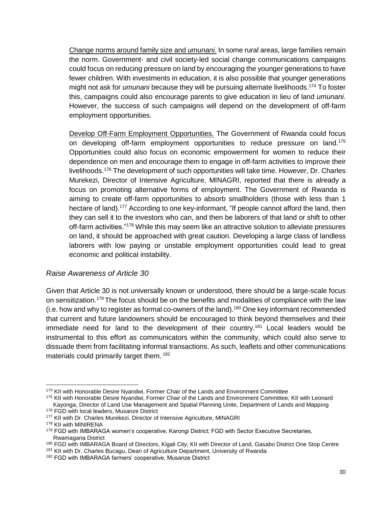Change norms around family size and *umunani*. In some rural areas, large families remain the norm. Government- and civil society-led social change communications campaigns could focus on reducing pressure on land by encouraging the younger generations to have fewer children. With investments in education, it is also possible that younger generations might not ask for *umunani* because they will be pursuing alternate livelihoods.<sup>174</sup> To foster this, campaigns could also encourage parents to give education in lieu of land *umunani.* However, the success of such campaigns will depend on the development of off-farm employment opportunities.

Develop Off-Farm Employment Opportunities. The Government of Rwanda could focus on developing off-farm employment opportunities to reduce pressure on land.<sup>175</sup> Opportunities could also focus on economic empowerment for women to reduce their dependence on men and encourage them to engage in off-farm activities to improve their livelihoods.<sup>176</sup> The development of such opportunities will take time. However, Dr. Charles Murekezi, Director of Intensive Agriculture, MINAGRI, reported that there is already a focus on promoting alternative forms of employment. The Government of Rwanda is aiming to create off-farm opportunities to absorb smallholders (those with less than 1 hectare of land).<sup>177</sup> According to one key-informant, "If people cannot afford the land, then they can sell it to the investors who can, and then be laborers of that land or shift to other off-farm activities."<sup>178</sup> While this may seem like an attractive solution to alleviate pressures on land, it should be approached with great caution. Developing a large class of landless laborers with low paying or unstable employment opportunities could lead to great economic and political instability.

#### *Raise Awareness of Article 30*

Given that Article 30 is not universally known or understood, there should be a large-scale focus on sensitization.<sup>179</sup> The focus should be on the benefits and modalities of compliance with the law (i.e. how and why to register as formal co-owners of the land).<sup>180</sup> One key informant recommended that current and future landowners should be encouraged to think beyond themselves and their immediate need for land to the development of their country.<sup>181</sup> Local leaders would be instrumental to this effort as communicators within the community, which could also serve to dissuade them from facilitating informal transactions. As such, leaflets and other communications materials could primarily target them. <sup>182</sup>

<sup>174</sup> KII with Honorable Desire Nyandwi, Former Chair of the Lands and Environment Committee

<sup>175</sup> KII with Honorable Desire Nyandwi, Former Chair of the Lands and Environment Committee; KII with Leonard Kayonga, Director of Land Use Management and Spatial Planning Unite, Department of Lands and Mapping

<sup>176</sup> FGD with local leaders, Musanze District

<sup>&</sup>lt;sup>177</sup> KII with Dr. Charles Murekezi, Director of Intensive Agriculture, MINAGRI

<sup>178</sup> KII with MINIRENA

<sup>&</sup>lt;sup>179</sup> FGD with IMBARAGA women's cooperative, Karongi District; FGD with Sector Executive Secretaries, Rwamagana District

<sup>180</sup> FGD with IMBARAGA Board of Directors, Kigali City; KII with Director of Land, Gasabo District One Stop Centre

<sup>&</sup>lt;sup>181</sup> KII with Dr. Charles Bucagu, Dean of Agriculture Department, University of Rwanda

<sup>182</sup> FGD with IMBARAGA farmers' cooperative, Musanze District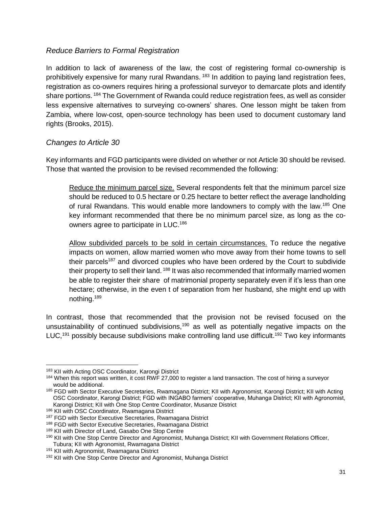#### *Reduce Barriers to Formal Registration*

In addition to lack of awareness of the law, the cost of registering formal co-ownership is prohibitively expensive for many rural Rwandans. <sup>183</sup> In addition to paying land registration fees, registration as co-owners requires hiring a professional surveyor to demarcate plots and identify share portions. <sup>184</sup> The Government of Rwanda could reduce registration fees, as well as consider less expensive alternatives to surveying co-owners' shares. One lesson might be taken from Zambia, where low-cost, open-source technology has been used to document customary land rights (Brooks, 2015).

#### *Changes to Article 30*

Key informants and FGD participants were divided on whether or not Article 30 should be revised. Those that wanted the provision to be revised recommended the following:

Reduce the minimum parcel size. Several respondents felt that the minimum parcel size should be reduced to 0.5 hectare or 0.25 hectare to better reflect the average landholding of rural Rwandans. This would enable more landowners to comply with the law.<sup>185</sup> One key informant recommended that there be no minimum parcel size, as long as the coowners agree to participate in LUC.<sup>186</sup>

Allow subdivided parcels to be sold in certain circumstances. To reduce the negative impacts on women, allow married women who move away from their home towns to sell their parcels<sup>187</sup> and divorced couples who have been ordered by the Court to subdivide their property to sell their land. <sup>188</sup> It was also recommended that informally married women be able to register their share of matrimonial property separately even if it's less than one hectare; otherwise, in the even t of separation from her husband, she might end up with nothing.<sup>189</sup>

In contrast, those that recommended that the provision not be revised focused on the unsustainability of continued subdivisions,<sup>190</sup> as well as potentially negative impacts on the LUC,<sup>191</sup> possibly because subdivisions make controlling land use difficult.<sup>192</sup> Two key informants

ı

<sup>183</sup> KII with Acting OSC Coordinator, Karongi District

<sup>&</sup>lt;sup>184</sup> When this report was written, it cost RWF 27,000 to register a land transaction. The cost of hiring a surveyor would be additional.

<sup>185</sup> FGD with Sector Executive Secretaries, Rwamagana District; KII with Agronomist, Karongi District; KII with Acting OSC Coordinator, Karongi District; FGD with INGABO farmers' cooperative, Muhanga District; KII with Agronomist, Karongi District; KII with One Stop Centre Coordinator, Musanze District

<sup>186</sup> KII with OSC Coordinator, Rwamagana District

<sup>&</sup>lt;sup>187</sup> FGD with Sector Executive Secretaries, Rwamagana District

<sup>188</sup> FGD with Sector Executive Secretaries, Rwamagana District

<sup>189</sup> KII with Director of Land, Gasabo One Stop Centre

<sup>190</sup> KII with One Stop Centre Director and Agronomist, Muhanga District; KII with Government Relations Officer, Tubura; KII with Agronomist, Rwamagana District

<sup>&</sup>lt;sup>191</sup> KII with Agronomist, Rwamagana District

<sup>&</sup>lt;sup>192</sup> KII with One Stop Centre Director and Agronomist, Muhanga District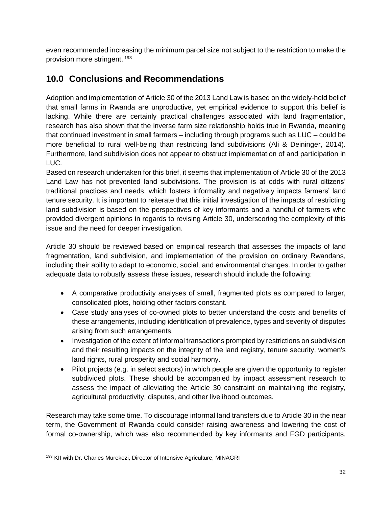even recommended increasing the minimum parcel size not subject to the restriction to make the provision more stringent. <sup>193</sup>

# <span id="page-31-0"></span>**10.0 Conclusions and Recommendations**

Adoption and implementation of Article 30 of the 2013 Land Law is based on the widely-held belief that small farms in Rwanda are unproductive, yet empirical evidence to support this belief is lacking. While there are certainly practical challenges associated with land fragmentation, research has also shown that the inverse farm size relationship holds true in Rwanda, meaning that continued investment in small farmers – including through programs such as LUC – could be more beneficial to rural well-being than restricting land subdivisions (Ali & Deininger, 2014). Furthermore, land subdivision does not appear to obstruct implementation of and participation in LUC.

Based on research undertaken for this brief, it seems that implementation of Article 30 of the 2013 Land Law has not prevented land subdivisions. The provision is at odds with rural citizens' traditional practices and needs, which fosters informality and negatively impacts farmers' land tenure security. It is important to reiterate that this initial investigation of the impacts of restricting land subdivision is based on the perspectives of key informants and a handful of farmers who provided divergent opinions in regards to revising Article 30, underscoring the complexity of this issue and the need for deeper investigation.

Article 30 should be reviewed based on empirical research that assesses the impacts of land fragmentation, land subdivision, and implementation of the provision on ordinary Rwandans, including their ability to adapt to economic, social, and environmental changes. In order to gather adequate data to robustly assess these issues, research should include the following:

- A comparative productivity analyses of small, fragmented plots as compared to larger, consolidated plots, holding other factors constant.
- Case study analyses of co-owned plots to better understand the costs and benefits of these arrangements, including identification of prevalence, types and severity of disputes arising from such arrangements.
- Investigation of the extent of informal transactions prompted by restrictions on subdivision and their resulting impacts on the integrity of the land registry, tenure security, women's land rights, rural prosperity and social harmony.
- Pilot projects (e.g. in select sectors) in which people are given the opportunity to register subdivided plots. These should be accompanied by impact assessment research to assess the impact of alleviating the Article 30 constraint on maintaining the registry, agricultural productivity, disputes, and other livelihood outcomes.

Research may take some time. To discourage informal land transfers due to Article 30 in the near term, the Government of Rwanda could consider raising awareness and lowering the cost of formal co-ownership, which was also recommended by key informants and FGD participants.

ı

<sup>&</sup>lt;sup>193</sup> KII with Dr. Charles Murekezi, Director of Intensive Agriculture, MINAGRI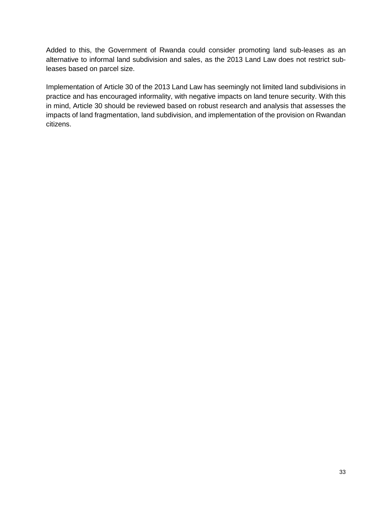Added to this, the Government of Rwanda could consider promoting land sub-leases as an alternative to informal land subdivision and sales, as the 2013 Land Law does not restrict subleases based on parcel size.

<span id="page-32-0"></span>Implementation of Article 30 of the 2013 Land Law has seemingly not limited land subdivisions in practice and has encouraged informality, with negative impacts on land tenure security. With this in mind, Article 30 should be reviewed based on robust research and analysis that assesses the impacts of land fragmentation, land subdivision, and implementation of the provision on Rwandan citizens.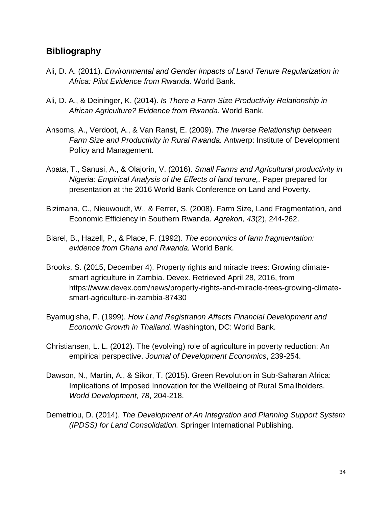## **Bibliography**

- Ali, D. A. (2011). *Environmental and Gender Impacts of Land Tenure Regularization in Africa: Pilot Evidence from Rwanda.* World Bank.
- Ali, D. A., & Deininger, K. (2014). *Is There a Farm-Size Productivity Relationship in African Agriculture? Evidence from Rwanda.* World Bank.
- Ansoms, A., Verdoot, A., & Van Ranst, E. (2009). *The Inverse Relationship between Farm Size and Productivity in Rural Rwanda.* Antwerp: Institute of Development Policy and Management.
- Apata, T., Sanusi, A., & Olajorin, V. (2016). *Small Farms and Agricultural productivity in Nigeria: Empirical Analysis of the Effects of land tenure,.* Paper prepared for presentation at the 2016 World Bank Conference on Land and Poverty.
- Bizimana, C., Nieuwoudt, W., & Ferrer, S. (2008). Farm Size, Land Fragmentation, and Economic Efficiency in Southern Rwanda. *Agrekon, 43*(2), 244-262.
- Blarel, B., Hazell, P., & Place, F. (1992). *The economics of farm fragmentation: evidence from Ghana and Rwanda.* World Bank.
- Brooks, S. (2015, December 4). Property rights and miracle trees: Growing climatesmart agriculture in Zambia. Devex. Retrieved April 28, 2016, from https://www.devex.com/news/property-rights-and-miracle-trees-growing-climatesmart-agriculture-in-zambia-87430
- Byamugisha, F. (1999). *How Land Registration Affects Financial Development and Economic Growth in Thailand.* Washington, DC: World Bank.
- Christiansen, L. L. (2012). The (evolving) role of agriculture in poverty reduction: An empirical perspective. *Journal of Development Economics*, 239-254.
- Dawson, N., Martin, A., & Sikor, T. (2015). Green Revolution in Sub-Saharan Africa: Implications of Imposed Innovation for the Wellbeing of Rural Smallholders. *World Development, 78*, 204-218.
- Demetriou, D. (2014). *The Development of An Integration and Planning Support System (IPDSS) for Land Consolidation.* Springer International Publishing.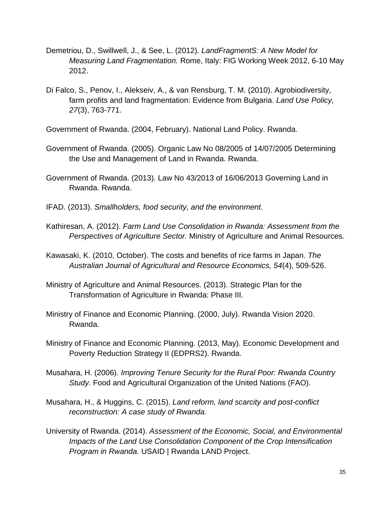- Demetriou, D., Swillwell, J., & See, L. (2012). *LandFragmentS: A New Model for Measuring Land Fragmentation.* Rome, Italy: FIG Working Week 2012, 6-10 May 2012.
- Di Falco, S., Penov, I., Alekseiv, A., & van Rensburg, T. M. (2010). Agrobiodiversity, farm profits and land fragmentation: Evidence from Bulgaria. *Land Use Policy, 27*(3), 763-771.
- Government of Rwanda. (2004, February). National Land Policy. Rwanda.
- Government of Rwanda. (2005). Organic Law No 08/2005 of 14/07/2005 Determining the Use and Management of Land in Rwanda. Rwanda.
- Government of Rwanda. (2013). Law No 43/2013 of 16/06/2013 Governing Land in Rwanda. Rwanda.
- IFAD. (2013). *Smallholders, food security, and the environment.*
- Kathiresan, A. (2012). *Farm Land Use Consolidation in Rwanda: Assessment from the Perspectives of Agriculture Sector.* Ministry of Agriculture and Animal Resources.
- Kawasaki, K. (2010, October). The costs and benefits of rice farms in Japan. *The Australian Journal of Agricultural and Resource Economics, 54*(4), 509-526.
- Ministry of Agriculture and Animal Resources. (2013). Strategic Plan for the Transformation of Agriculture in Rwanda: Phase III.
- Ministry of Finance and Economic Planning. (2000, July). Rwanda Vision 2020. Rwanda.
- Ministry of Finance and Economic Planning. (2013, May). Economic Development and Poverty Reduction Strategy II (EDPRS2). Rwanda.
- Musahara, H. (2006). *Improving Tenure Security for the Rural Poor: Rwanda Country Study.* Food and Agricultural Organization of the United Nations (FAO).
- Musahara, H., & Huggins, C. (2015). *Land reform, land scarcity and post-conflict reconstruction: A case study of Rwanda.*
- University of Rwanda. (2014). *Assessment of the Economic, Social, and Environmental Impacts of the Land Use Consolidation Component of the Crop Intensification Program in Rwanda.* USAID | Rwanda LAND Project.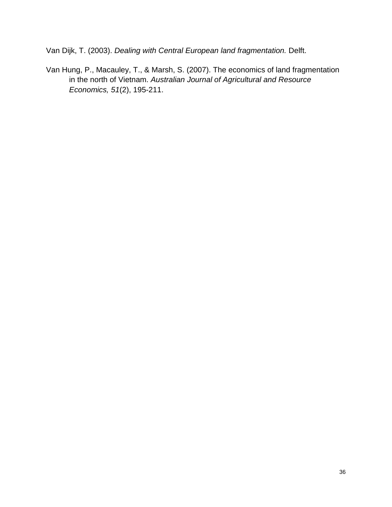Van Dijk, T. (2003). *Dealing with Central European land fragmentation.* Delft.

Van Hung, P., Macauley, T., & Marsh, S. (2007). The economics of land fragmentation in the north of Vietnam. *Australian Journal of Agricultural and Resource Economics, 51*(2), 195-211.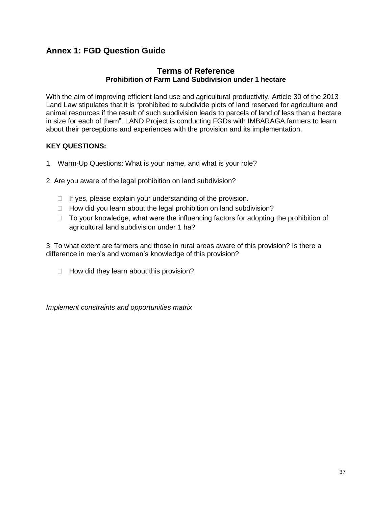## **Annex 1: FGD Question Guide**

#### **Terms of Reference Prohibition of Farm Land Subdivision under 1 hectare**

With the aim of improving efficient land use and agricultural productivity, Article 30 of the 2013 Land Law stipulates that it is "prohibited to subdivide plots of land reserved for agriculture and animal resources if the result of such subdivision leads to parcels of land of less than a hectare in size for each of them". LAND Project is conducting FGDs with IMBARAGA farmers to learn about their perceptions and experiences with the provision and its implementation.

#### **KEY QUESTIONS:**

- 1. Warm-Up Questions: What is your name, and what is your role?
- 2. Are you aware of the legal prohibition on land subdivision?
	- $\Box$  If yes, please explain your understanding of the provision.
	- $\Box$  How did you learn about the legal prohibition on land subdivision?
	- $\Box$  To your knowledge, what were the influencing factors for adopting the prohibition of agricultural land subdivision under 1 ha?

3. To what extent are farmers and those in rural areas aware of this provision? Is there a difference in men's and women's knowledge of this provision?

 $\Box$  How did they learn about this provision?

*Implement constraints and opportunities matrix*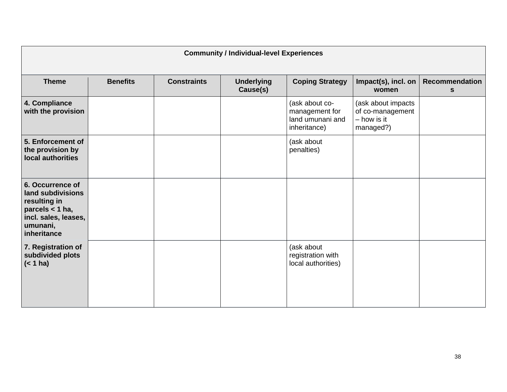| <b>Community / Individual-level Experiences</b>                                                                             |                 |                    |                               |                                                                      |                                                                      |                            |
|-----------------------------------------------------------------------------------------------------------------------------|-----------------|--------------------|-------------------------------|----------------------------------------------------------------------|----------------------------------------------------------------------|----------------------------|
| <b>Theme</b>                                                                                                                | <b>Benefits</b> | <b>Constraints</b> | <b>Underlying</b><br>Cause(s) | <b>Coping Strategy</b>                                               | Impact(s), incl. on<br>women                                         | <b>Recommendation</b><br>S |
| 4. Compliance<br>with the provision                                                                                         |                 |                    |                               | (ask about co-<br>management for<br>land umunani and<br>inheritance) | (ask about impacts<br>of co-management<br>$-$ how is it<br>managed?) |                            |
| 5. Enforcement of<br>the provision by<br>local authorities                                                                  |                 |                    |                               | (ask about<br>penalties)                                             |                                                                      |                            |
| 6. Occurrence of<br>land subdivisions<br>resulting in<br>parcels < 1 ha,<br>incl. sales, leases,<br>umunani,<br>inheritance |                 |                    |                               |                                                                      |                                                                      |                            |
| 7. Registration of<br>subdivided plots<br>(< 1 ha)                                                                          |                 |                    |                               | (ask about<br>registration with<br>local authorities)                |                                                                      |                            |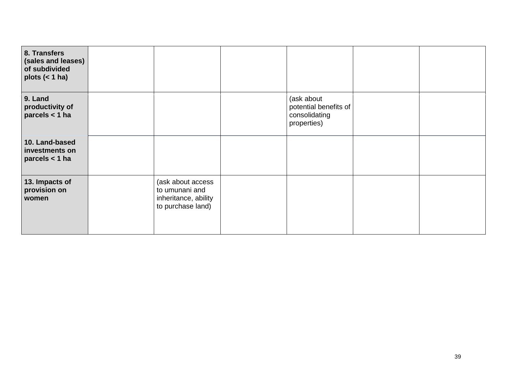| 8. Transfers<br>(sales and leases)<br>of subdivided<br>plots $(< 1$ ha) |                                                                                  |                                                                     |  |
|-------------------------------------------------------------------------|----------------------------------------------------------------------------------|---------------------------------------------------------------------|--|
| 9. Land<br>productivity of<br>parcels < 1 ha                            |                                                                                  | (ask about<br>potential benefits of<br>consolidating<br>properties) |  |
| 10. Land-based<br>investments on<br>parcels $<$ 1 ha                    |                                                                                  |                                                                     |  |
| 13. Impacts of<br>provision on<br>women                                 | (ask about access<br>to umunani and<br>inheritance, ability<br>to purchase land) |                                                                     |  |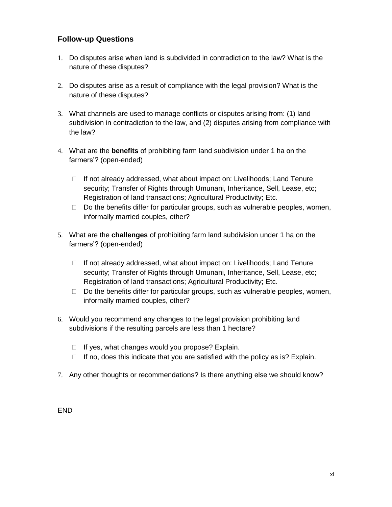#### **Follow-up Questions**

- 1. Do disputes arise when land is subdivided in contradiction to the law? What is the nature of these disputes?
- 2. Do disputes arise as a result of compliance with the legal provision? What is the nature of these disputes?
- 3. What channels are used to manage conflicts or disputes arising from: (1) land subdivision in contradiction to the law, and (2) disputes arising from compliance with the law?
- 4. What are the **benefits** of prohibiting farm land subdivision under 1 ha on the farmers'? (open-ended)
	- $\Box$  If not already addressed, what about impact on: Livelihoods; Land Tenure security; Transfer of Rights through Umunani, Inheritance, Sell, Lease, etc; Registration of land transactions; Agricultural Productivity; Etc.
	- $\Box$  Do the benefits differ for particular groups, such as vulnerable peoples, women, informally married couples, other?
- 5. What are the **challenges** of prohibiting farm land subdivision under 1 ha on the farmers'? (open-ended)
	- $\Box$  If not already addressed, what about impact on: Livelihoods; Land Tenure security; Transfer of Rights through Umunani, Inheritance, Sell, Lease, etc; Registration of land transactions; Agricultural Productivity; Etc.
	- $\Box$  Do the benefits differ for particular groups, such as vulnerable peoples, women, informally married couples, other?
- 6. Would you recommend any changes to the legal provision prohibiting land subdivisions if the resulting parcels are less than 1 hectare?
	- $\Box$  If yes, what changes would you propose? Explain.
	- $\Box$  If no, does this indicate that you are satisfied with the policy as is? Explain.
- 7. Any other thoughts or recommendations? Is there anything else we should know?

END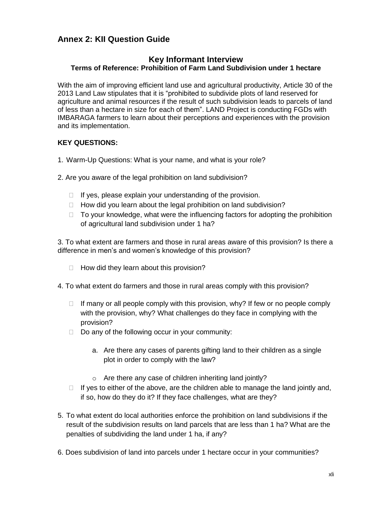## **Annex 2: KII Question Guide**

#### **Key Informant Interview Terms of Reference: Prohibition of Farm Land Subdivision under 1 hectare**

With the aim of improving efficient land use and agricultural productivity, Article 30 of the 2013 Land Law stipulates that it is "prohibited to subdivide plots of land reserved for agriculture and animal resources if the result of such subdivision leads to parcels of land of less than a hectare in size for each of them". LAND Project is conducting FGDs with IMBARAGA farmers to learn about their perceptions and experiences with the provision and its implementation.

#### **KEY QUESTIONS:**

- 1. Warm-Up Questions: What is your name, and what is your role?
- 2. Are you aware of the legal prohibition on land subdivision?
	- $\Box$  If yes, please explain your understanding of the provision.
	- $\Box$  How did you learn about the legal prohibition on land subdivision?
	- $\Box$  To your knowledge, what were the influencing factors for adopting the prohibition of agricultural land subdivision under 1 ha?

3. To what extent are farmers and those in rural areas aware of this provision? Is there a difference in men's and women's knowledge of this provision?

- $\Box$  How did they learn about this provision?
- 4. To what extent do farmers and those in rural areas comply with this provision?
	- $\Box$  If many or all people comply with this provision, why? If few or no people comply with the provision, why? What challenges do they face in complying with the provision?
	- $\Box$  Do any of the following occur in your community:
		- a. Are there any cases of parents gifting land to their children as a single plot in order to comply with the law?
		- o Are there any case of children inheriting land jointly?
	- $\Box$  If yes to either of the above, are the children able to manage the land jointly and, if so, how do they do it? If they face challenges, what are they?
- 5. To what extent do local authorities enforce the prohibition on land subdivisions if the result of the subdivision results on land parcels that are less than 1 ha? What are the penalties of subdividing the land under 1 ha, if any?
- 6. Does subdivision of land into parcels under 1 hectare occur in your communities?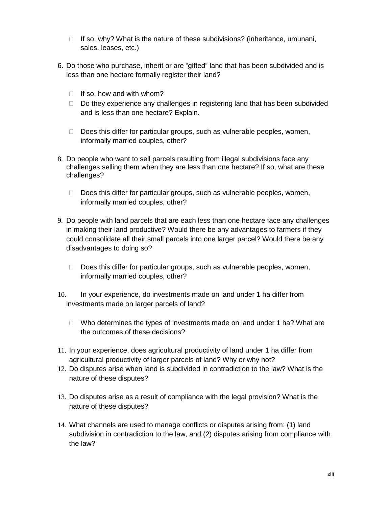- $\Box$  If so, why? What is the nature of these subdivisions? (inheritance, umunani, sales, leases, etc.)
- 6. Do those who purchase, inherit or are "gifted" land that has been subdivided and is less than one hectare formally register their land?
	- $\Box$  If so, how and with whom?
	- $\Box$  Do they experience any challenges in registering land that has been subdivided and is less than one hectare? Explain.
	- $\Box$  Does this differ for particular groups, such as vulnerable peoples, women, informally married couples, other?
- 8. Do people who want to sell parcels resulting from illegal subdivisions face any challenges selling them when they are less than one hectare? If so, what are these challenges?
	- $\Box$  Does this differ for particular groups, such as vulnerable peoples, women, informally married couples, other?
- 9. Do people with land parcels that are each less than one hectare face any challenges in making their land productive? Would there be any advantages to farmers if they could consolidate all their small parcels into one larger parcel? Would there be any disadvantages to doing so?
	- $\Box$  Does this differ for particular groups, such as vulnerable peoples, women, informally married couples, other?
- 10. In your experience, do investments made on land under 1 ha differ from investments made on larger parcels of land?
	- $\Box$  Who determines the types of investments made on land under 1 ha? What are the outcomes of these decisions?
- 11. In your experience, does agricultural productivity of land under 1 ha differ from agricultural productivity of larger parcels of land? Why or why not?
- 12. Do disputes arise when land is subdivided in contradiction to the law? What is the nature of these disputes?
- 13. Do disputes arise as a result of compliance with the legal provision? What is the nature of these disputes?
- 14. What channels are used to manage conflicts or disputes arising from: (1) land subdivision in contradiction to the law, and (2) disputes arising from compliance with the law?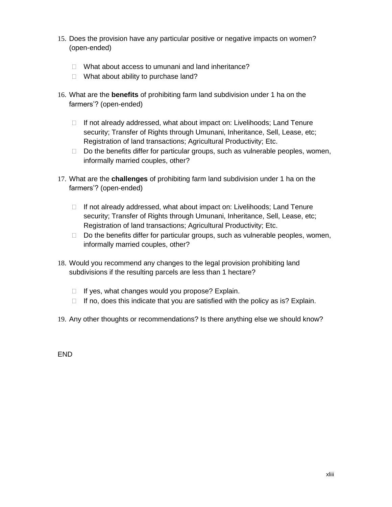- 15. Does the provision have any particular positive or negative impacts on women? (open-ended)
	- □ What about access to umunani and land inheritance?
	- $\Box$  What about ability to purchase land?
- 16. What are the **benefits** of prohibiting farm land subdivision under 1 ha on the farmers'? (open-ended)
	- $\Box$  If not already addressed, what about impact on: Livelihoods; Land Tenure security; Transfer of Rights through Umunani, Inheritance, Sell, Lease, etc; Registration of land transactions; Agricultural Productivity; Etc.
	- $\Box$  Do the benefits differ for particular groups, such as vulnerable peoples, women, informally married couples, other?
- 17. What are the **challenges** of prohibiting farm land subdivision under 1 ha on the farmers'? (open-ended)
	- $\Box$  If not already addressed, what about impact on: Livelihoods; Land Tenure security; Transfer of Rights through Umunani, Inheritance, Sell, Lease, etc; Registration of land transactions; Agricultural Productivity; Etc.
	- $\Box$  Do the benefits differ for particular groups, such as vulnerable peoples, women, informally married couples, other?
- 18. Would you recommend any changes to the legal provision prohibiting land subdivisions if the resulting parcels are less than 1 hectare?
	- $\Box$  If yes, what changes would you propose? Explain.
	- $\Box$  If no, does this indicate that you are satisfied with the policy as is? Explain.
- 19. Any other thoughts or recommendations? Is there anything else we should know?

END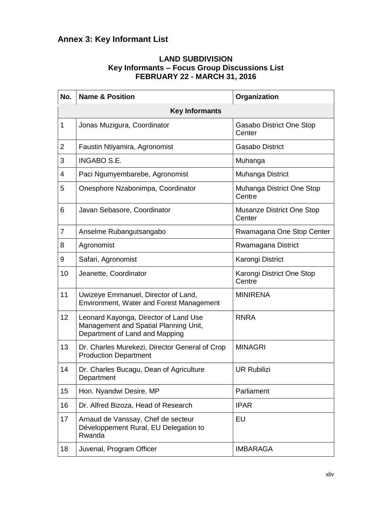# **Annex 3: Key Informant List**

#### **LAND SUBDIVISION Key Informants – Focus Group Discussions List FEBRUARY 22 - MARCH 31, 2016**

| No.            | <b>Name &amp; Position</b>                                                                                       | Organization                        |  |  |  |  |  |
|----------------|------------------------------------------------------------------------------------------------------------------|-------------------------------------|--|--|--|--|--|
|                | <b>Key Informants</b>                                                                                            |                                     |  |  |  |  |  |
| 1              | Jonas Muzigura, Coordinator                                                                                      | Gasabo District One Stop<br>Center  |  |  |  |  |  |
| $\overline{2}$ | Faustin Ntiyamira, Agronomist                                                                                    | <b>Gasabo District</b>              |  |  |  |  |  |
| 3              | <b>INGABO S.E.</b>                                                                                               | Muhanga                             |  |  |  |  |  |
| 4              | Paci Ngumyembarebe, Agronomist                                                                                   | Muhanga District                    |  |  |  |  |  |
| 5              | Onesphore Nzabonimpa, Coordinator                                                                                | Muhanga District One Stop<br>Centre |  |  |  |  |  |
| 6              | Javan Sebasore, Coordinator                                                                                      | Musanze District One Stop<br>Center |  |  |  |  |  |
| 7              | Anselme Rubangutsangabo                                                                                          | Rwamagana One Stop Center           |  |  |  |  |  |
| 8              | Agronomist                                                                                                       | Rwamagana District                  |  |  |  |  |  |
| 9              | Safari, Agronomist                                                                                               | Karongi District                    |  |  |  |  |  |
| 10             | Jeanette, Coordinator                                                                                            | Karongi District One Stop<br>Centre |  |  |  |  |  |
| 11             | Uwizeye Emmanuel, Director of Land,<br>Environment, Water and Forest Management                                  | <b>MINIRENA</b>                     |  |  |  |  |  |
| 12             | Leonard Kayonga, Director of Land Use<br>Management and Spatial Planning Unit,<br>Department of Land and Mapping | <b>RNRA</b>                         |  |  |  |  |  |
| 13             | Dr. Charles Murekezi, Director General of Crop<br><b>Production Department</b>                                   | <b>MINAGRI</b>                      |  |  |  |  |  |
| 14             | Dr. Charles Bucagu, Dean of Agriculture<br>Department                                                            | <b>UR Rubilizi</b>                  |  |  |  |  |  |
| 15             | Hon. Nyandwi Desire, MP                                                                                          | Parliament                          |  |  |  |  |  |
| 16             | Dr. Alfred Bizoza, Head of Research                                                                              | <b>IPAR</b>                         |  |  |  |  |  |
| 17             | Arnaud de Vanssay, Chef de secteur<br>Développement Rural, EU Delegation to<br>Rwanda                            | EU                                  |  |  |  |  |  |
| 18             | Juvenal, Program Officer                                                                                         | <b>IMBARAGA</b>                     |  |  |  |  |  |